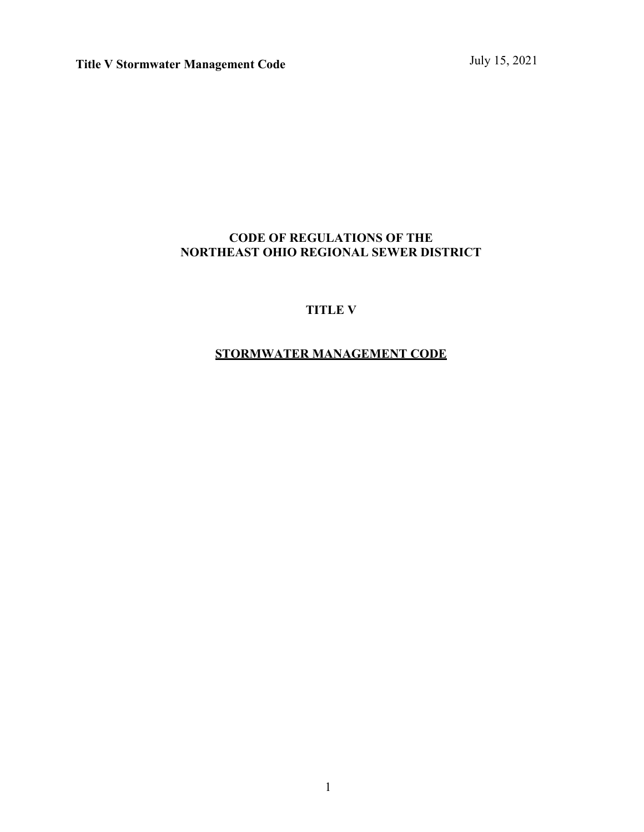### **CODE OF REGULATIONS OF THE NORTHEAST OHIO REGIONAL SEWER DISTRICT**

### **TITLE V**

## **STORMWATER MANAGEMENT CODE**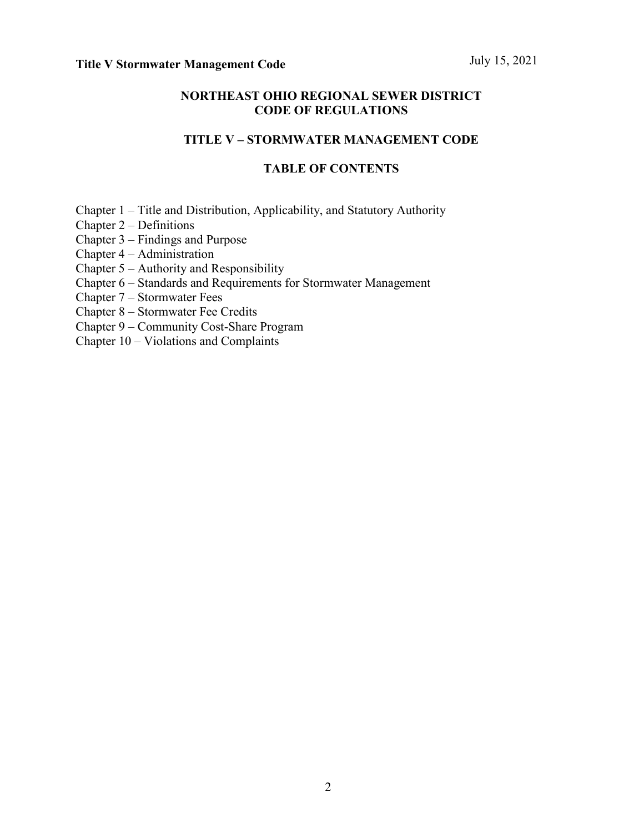### **NORTHEAST OHIO REGIONAL SEWER DISTRICT CODE OF REGULATIONS**

### **TITLE V – STORMWATER MANAGEMENT CODE**

### **TABLE OF CONTENTS**

Chapter 1 – Title and Distribution, Applicability, and Statutory Authority

Chapter 2 – Definitions

Chapter 3 – Findings and Purpose

Chapter 4 – Administration

- Chapter 5 Authority and Responsibility
- Chapter 6 Standards and Requirements for Stormwater Management

Chapter 7 – Stormwater Fees

Chapter 8 – Stormwater Fee Credits

- Chapter 9 Community Cost-Share Program
- Chapter 10 Violations and Complaints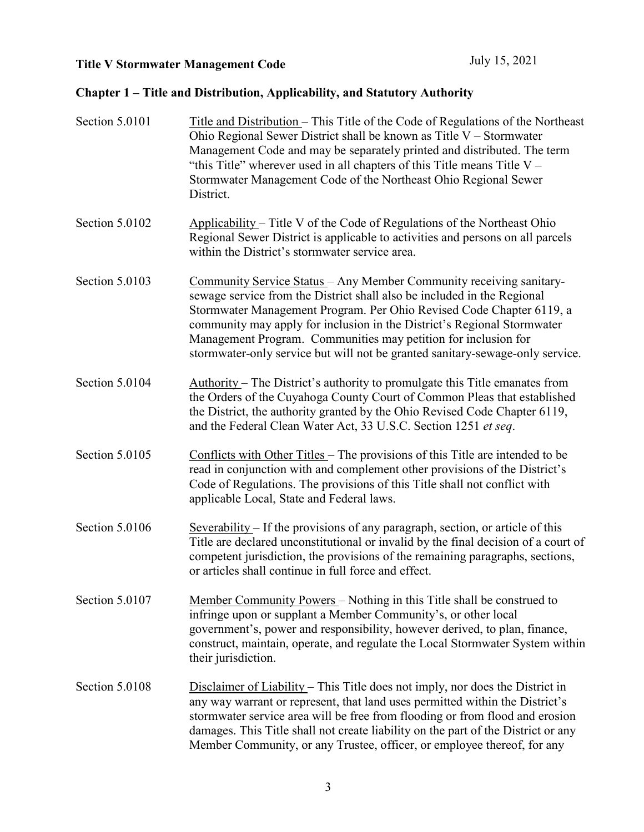## **Chapter 1 – Title and Distribution, Applicability, and Statutory Authority**

| Section 5.0101 | Title and Distribution – This Title of the Code of Regulations of the Northeast<br>Ohio Regional Sewer District shall be known as Title $V -$ Stormwater<br>Management Code and may be separately printed and distributed. The term<br>"this Title" wherever used in all chapters of this Title means Title $V -$<br>Stormwater Management Code of the Northeast Ohio Regional Sewer<br>District.                                                    |
|----------------|------------------------------------------------------------------------------------------------------------------------------------------------------------------------------------------------------------------------------------------------------------------------------------------------------------------------------------------------------------------------------------------------------------------------------------------------------|
| Section 5.0102 | Applicability – Title V of the Code of Regulations of the Northeast Ohio<br>Regional Sewer District is applicable to activities and persons on all parcels<br>within the District's stormwater service area.                                                                                                                                                                                                                                         |
| Section 5.0103 | Community Service Status - Any Member Community receiving sanitary-<br>sewage service from the District shall also be included in the Regional<br>Stormwater Management Program. Per Ohio Revised Code Chapter 6119, a<br>community may apply for inclusion in the District's Regional Stormwater<br>Management Program. Communities may petition for inclusion for<br>stormwater-only service but will not be granted sanitary-sewage-only service. |
| Section 5.0104 | Authority – The District's authority to promulgate this Title emanates from<br>the Orders of the Cuyahoga County Court of Common Pleas that established<br>the District, the authority granted by the Ohio Revised Code Chapter 6119,<br>and the Federal Clean Water Act, 33 U.S.C. Section 1251 et seq.                                                                                                                                             |
| Section 5.0105 | Conflicts with Other Titles - The provisions of this Title are intended to be<br>read in conjunction with and complement other provisions of the District's<br>Code of Regulations. The provisions of this Title shall not conflict with<br>applicable Local, State and Federal laws.                                                                                                                                                                |
| Section 5.0106 | Severability – If the provisions of any paragraph, section, or article of this<br>Title are declared unconstitutional or invalid by the final decision of a court of<br>competent jurisdiction, the provisions of the remaining paragraphs, sections,<br>or articles shall continue in full force and effect.                                                                                                                                        |
| Section 5.0107 | Member Community Powers - Nothing in this Title shall be construed to<br>infringe upon or supplant a Member Community's, or other local<br>government's, power and responsibility, however derived, to plan, finance,<br>construct, maintain, operate, and regulate the Local Stormwater System within<br>their jurisdiction.                                                                                                                        |
| Section 5.0108 | Disclaimer of Liability – This Title does not imply, nor does the District in<br>any way warrant or represent, that land uses permitted within the District's<br>stormwater service area will be free from flooding or from flood and erosion<br>damages. This Title shall not create liability on the part of the District or any<br>Member Community, or any Trustee, officer, or employee thereof, for any                                        |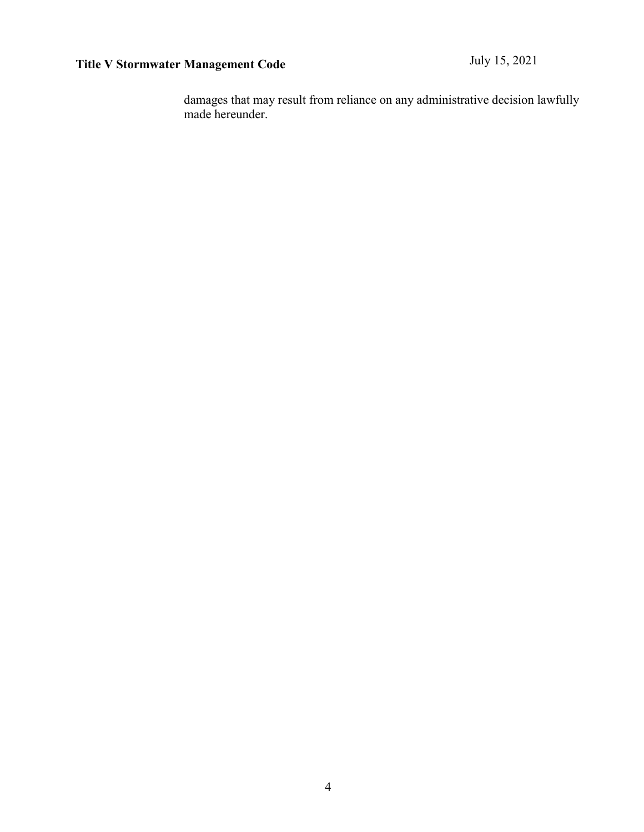damages that may result from reliance on any administrative decision lawfully made hereunder.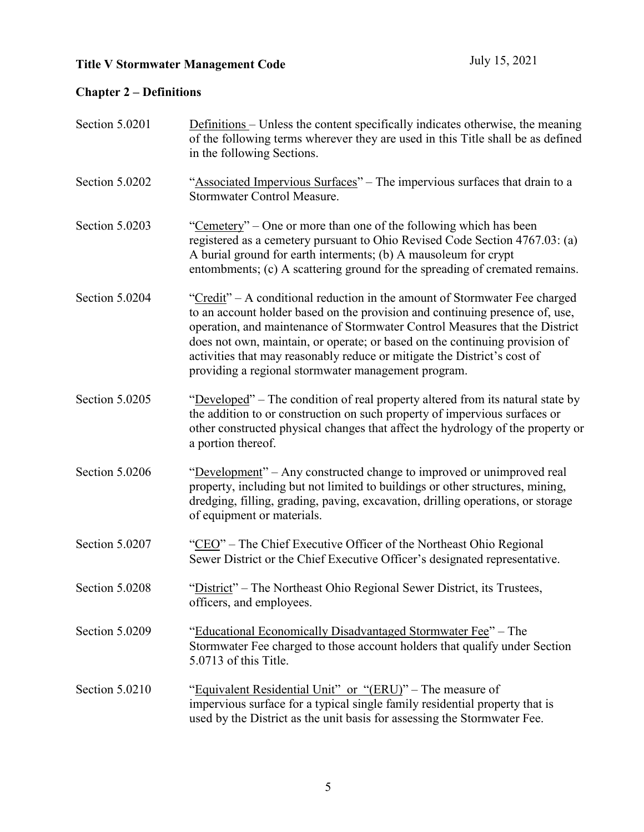## **Chapter 2 – Definitions**

| Section 5.0201 | <b>Definitions</b> – Unless the content specifically indicates otherwise, the meaning<br>of the following terms wherever they are used in this Title shall be as defined<br>in the following Sections.                                                                                                                                                                                                                                                      |
|----------------|-------------------------------------------------------------------------------------------------------------------------------------------------------------------------------------------------------------------------------------------------------------------------------------------------------------------------------------------------------------------------------------------------------------------------------------------------------------|
| Section 5.0202 | "Associated Impervious Surfaces" – The impervious surfaces that drain to a<br><b>Stormwater Control Measure.</b>                                                                                                                                                                                                                                                                                                                                            |
| Section 5.0203 | "Cemetery" – One or more than one of the following which has been<br>registered as a cemetery pursuant to Ohio Revised Code Section 4767.03: (a)<br>A burial ground for earth interments; (b) A mausoleum for crypt<br>entombments; (c) A scattering ground for the spreading of cremated remains.                                                                                                                                                          |
| Section 5.0204 | "Credit" – A conditional reduction in the amount of Stormwater Fee charged<br>to an account holder based on the provision and continuing presence of, use,<br>operation, and maintenance of Stormwater Control Measures that the District<br>does not own, maintain, or operate; or based on the continuing provision of<br>activities that may reasonably reduce or mitigate the District's cost of<br>providing a regional stormwater management program. |
| Section 5.0205 | "Developed" – The condition of real property altered from its natural state by<br>the addition to or construction on such property of impervious surfaces or<br>other constructed physical changes that affect the hydrology of the property or<br>a portion thereof.                                                                                                                                                                                       |
| Section 5.0206 | "Development" – Any constructed change to improved or unimproved real<br>property, including but not limited to buildings or other structures, mining,<br>dredging, filling, grading, paving, excavation, drilling operations, or storage<br>of equipment or materials.                                                                                                                                                                                     |
| Section 5.0207 | "CEO" – The Chief Executive Officer of the Northeast Ohio Regional<br>Sewer District or the Chief Executive Officer's designated representative.                                                                                                                                                                                                                                                                                                            |
| Section 5.0208 | "District" – The Northeast Ohio Regional Sewer District, its Trustees,<br>officers, and employees.                                                                                                                                                                                                                                                                                                                                                          |
| Section 5.0209 | "Educational Economically Disadvantaged Stormwater Fee" - The<br>Stormwater Fee charged to those account holders that qualify under Section<br>5.0713 of this Title.                                                                                                                                                                                                                                                                                        |
| Section 5.0210 | "Equivalent Residential Unit" or "(ERU)" - The measure of<br>impervious surface for a typical single family residential property that is<br>used by the District as the unit basis for assessing the Stormwater Fee.                                                                                                                                                                                                                                        |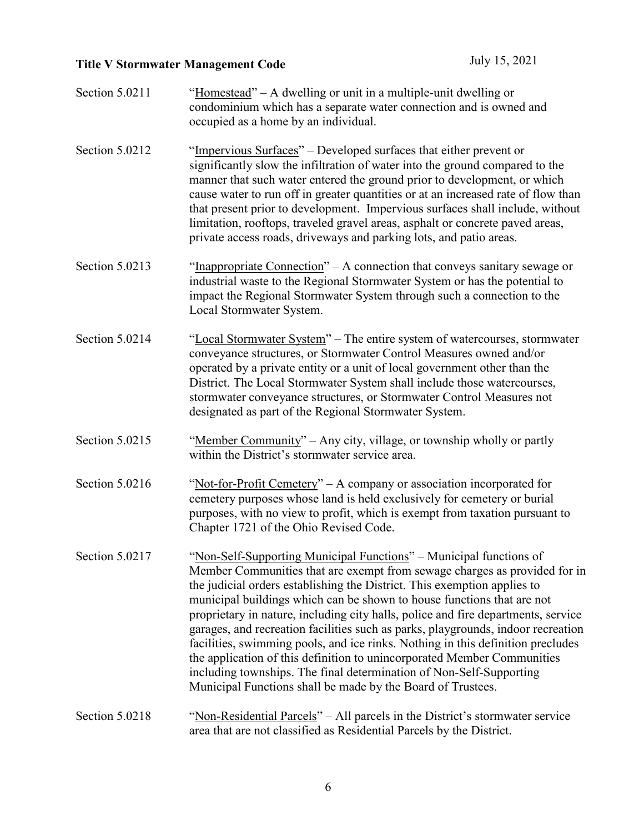| Section 5.0211 | "Homestead" – A dwelling or unit in a multiple-unit dwelling or<br>condominium which has a separate water connection and is owned and<br>occupied as a home by an individual.                                                                                                                                                                                                                                                                                                                                                                                                                                                                                                                                                                                                      |
|----------------|------------------------------------------------------------------------------------------------------------------------------------------------------------------------------------------------------------------------------------------------------------------------------------------------------------------------------------------------------------------------------------------------------------------------------------------------------------------------------------------------------------------------------------------------------------------------------------------------------------------------------------------------------------------------------------------------------------------------------------------------------------------------------------|
| Section 5.0212 | "Impervious Surfaces" – Developed surfaces that either prevent or<br>significantly slow the infiltration of water into the ground compared to the<br>manner that such water entered the ground prior to development, or which<br>cause water to run off in greater quantities or at an increased rate of flow than<br>that present prior to development. Impervious surfaces shall include, without<br>limitation, rooftops, traveled gravel areas, asphalt or concrete paved areas,<br>private access roads, driveways and parking lots, and patio areas.                                                                                                                                                                                                                         |
| Section 5.0213 | "Inappropriate Connection" – A connection that conveys sanitary sewage or<br>industrial waste to the Regional Stormwater System or has the potential to<br>impact the Regional Stormwater System through such a connection to the<br>Local Stormwater System.                                                                                                                                                                                                                                                                                                                                                                                                                                                                                                                      |
| Section 5.0214 | "Local Stormwater System" – The entire system of watercourses, stormwater<br>conveyance structures, or Stormwater Control Measures owned and/or<br>operated by a private entity or a unit of local government other than the<br>District. The Local Stormwater System shall include those watercourses,<br>stormwater conveyance structures, or Stormwater Control Measures not<br>designated as part of the Regional Stormwater System.                                                                                                                                                                                                                                                                                                                                           |
| Section 5.0215 | "Member Community" – Any city, village, or township wholly or partly<br>within the District's stormwater service area.                                                                                                                                                                                                                                                                                                                                                                                                                                                                                                                                                                                                                                                             |
| Section 5.0216 | "Not-for-Profit Cemetery" – A company or association incorporated for<br>cemetery purposes whose land is held exclusively for cemetery or burial<br>purposes, with no view to profit, which is exempt from taxation pursuant to<br>Chapter 1721 of the Ohio Revised Code.                                                                                                                                                                                                                                                                                                                                                                                                                                                                                                          |
| Section 5.0217 | "Non-Self-Supporting Municipal Functions" – Municipal functions of<br>Member Communities that are exempt from sewage charges as provided for in<br>the judicial orders establishing the District. This exemption applies to<br>municipal buildings which can be shown to house functions that are not<br>proprietary in nature, including city halls, police and fire departments, service<br>garages, and recreation facilities such as parks, playgrounds, indoor recreation<br>facilities, swimming pools, and ice rinks. Nothing in this definition precludes<br>the application of this definition to unincorporated Member Communities<br>including townships. The final determination of Non-Self-Supporting<br>Municipal Functions shall be made by the Board of Trustees. |
| Section 5.0218 | "Non-Residential Parcels" – All parcels in the District's stormwater service<br>area that are not classified as Residential Parcels by the District.                                                                                                                                                                                                                                                                                                                                                                                                                                                                                                                                                                                                                               |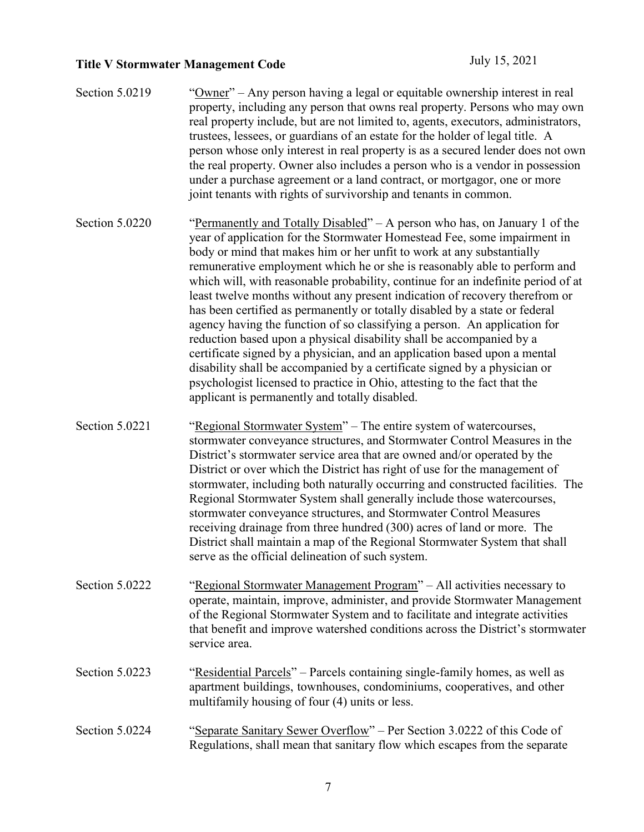| Section 5.0219 | "Owner" – Any person having a legal or equitable ownership interest in real<br>property, including any person that owns real property. Persons who may own<br>real property include, but are not limited to, agents, executors, administrators,<br>trustees, lessees, or guardians of an estate for the holder of legal title. A<br>person whose only interest in real property is as a secured lender does not own<br>the real property. Owner also includes a person who is a vendor in possession<br>under a purchase agreement or a land contract, or mortgagor, one or more<br>joint tenants with rights of survivorship and tenants in common.                                                                                                                                                                                                                                                                                                                                                         |
|----------------|--------------------------------------------------------------------------------------------------------------------------------------------------------------------------------------------------------------------------------------------------------------------------------------------------------------------------------------------------------------------------------------------------------------------------------------------------------------------------------------------------------------------------------------------------------------------------------------------------------------------------------------------------------------------------------------------------------------------------------------------------------------------------------------------------------------------------------------------------------------------------------------------------------------------------------------------------------------------------------------------------------------|
| Section 5.0220 | "Permanently and Totally Disabled" - A person who has, on January 1 of the<br>year of application for the Stormwater Homestead Fee, some impairment in<br>body or mind that makes him or her unfit to work at any substantially<br>remunerative employment which he or she is reasonably able to perform and<br>which will, with reasonable probability, continue for an indefinite period of at<br>least twelve months without any present indication of recovery therefrom or<br>has been certified as permanently or totally disabled by a state or federal<br>agency having the function of so classifying a person. An application for<br>reduction based upon a physical disability shall be accompanied by a<br>certificate signed by a physician, and an application based upon a mental<br>disability shall be accompanied by a certificate signed by a physician or<br>psychologist licensed to practice in Ohio, attesting to the fact that the<br>applicant is permanently and totally disabled. |
| Section 5.0221 | "Regional Stormwater System" – The entire system of watercourses,<br>stormwater conveyance structures, and Stormwater Control Measures in the<br>District's stormwater service area that are owned and/or operated by the<br>District or over which the District has right of use for the management of<br>stormwater, including both naturally occurring and constructed facilities. The<br>Regional Stormwater System shall generally include those watercourses,<br>stormwater conveyance structures, and Stormwater Control Measures<br>receiving drainage from three hundred (300) acres of land or more. The<br>District shall maintain a map of the Regional Stormwater System that shall<br>serve as the official delineation of such system.                                                                                                                                                                                                                                                        |
| Section 5.0222 | "Regional Stormwater Management Program" – All activities necessary to<br>operate, maintain, improve, administer, and provide Stormwater Management<br>of the Regional Stormwater System and to facilitate and integrate activities<br>that benefit and improve watershed conditions across the District's stormwater<br>service area.                                                                                                                                                                                                                                                                                                                                                                                                                                                                                                                                                                                                                                                                       |
| Section 5.0223 | "Residential Parcels" – Parcels containing single-family homes, as well as<br>apartment buildings, townhouses, condominiums, cooperatives, and other<br>multifamily housing of four (4) units or less.                                                                                                                                                                                                                                                                                                                                                                                                                                                                                                                                                                                                                                                                                                                                                                                                       |
| Section 5.0224 | "Separate Sanitary Sewer Overflow" – Per Section 3.0222 of this Code of<br>Regulations, shall mean that sanitary flow which escapes from the separate                                                                                                                                                                                                                                                                                                                                                                                                                                                                                                                                                                                                                                                                                                                                                                                                                                                        |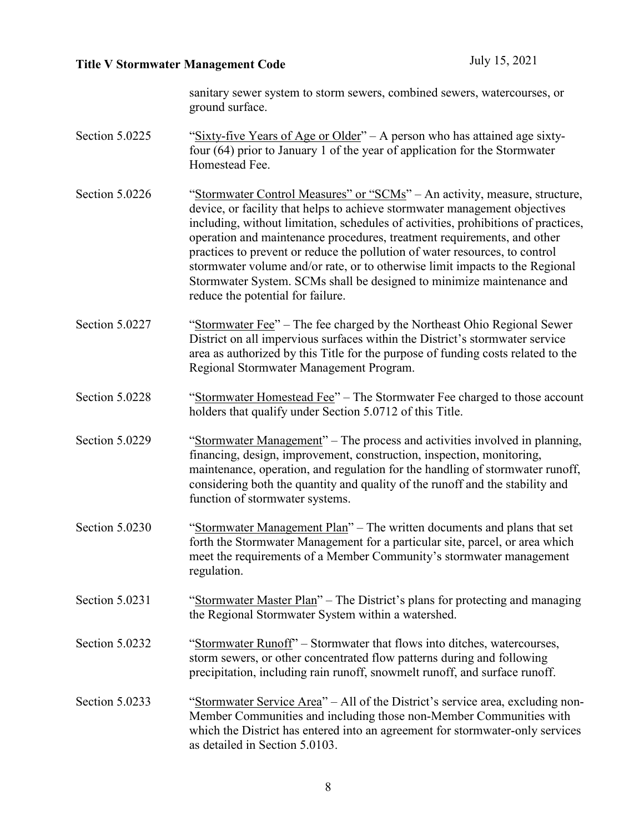sanitary sewer system to storm sewers, combined sewers, watercourses, or ground surface.

- Section 5.0225 "Sixty-five Years of Age or Older" A person who has attained age sixtyfour (64) prior to January 1 of the year of application for the Stormwater Homestead Fee.
- Section 5.0226 "Stormwater Control Measures" or "SCMs" An activity, measure, structure, device, or facility that helps to achieve stormwater management objectives including, without limitation, schedules of activities, prohibitions of practices, operation and maintenance procedures, treatment requirements, and other practices to prevent or reduce the pollution of water resources, to control stormwater volume and/or rate, or to otherwise limit impacts to the Regional Stormwater System. SCMs shall be designed to minimize maintenance and reduce the potential for failure.
- Section 5.0227 "Stormwater Fee" The fee charged by the Northeast Ohio Regional Sewer District on all impervious surfaces within the District's stormwater service area as authorized by this Title for the purpose of funding costs related to the Regional Stormwater Management Program.
- Section 5.0228 "Stormwater Homestead Fee" The Stormwater Fee charged to those account holders that qualify under Section 5.0712 of this Title.
- Section 5.0229 "Stormwater Management" The process and activities involved in planning, financing, design, improvement, construction, inspection, monitoring, maintenance, operation, and regulation for the handling of stormwater runoff, considering both the quantity and quality of the runoff and the stability and function of stormwater systems.
- Section 5.0230 "Stormwater Management Plan" The written documents and plans that set forth the Stormwater Management for a particular site, parcel, or area which meet the requirements of a Member Community's stormwater management regulation.
- Section 5.0231 "Stormwater Master Plan" The District's plans for protecting and managing the Regional Stormwater System within a watershed.
- Section 5.0232 "Stormwater Runoff" Stormwater that flows into ditches, watercourses, storm sewers, or other concentrated flow patterns during and following precipitation, including rain runoff, snowmelt runoff, and surface runoff.
- Section 5.0233 "Stormwater Service Area" All of the District's service area, excluding non-Member Communities and including those non-Member Communities with which the District has entered into an agreement for stormwater-only services as detailed in Section 5.0103.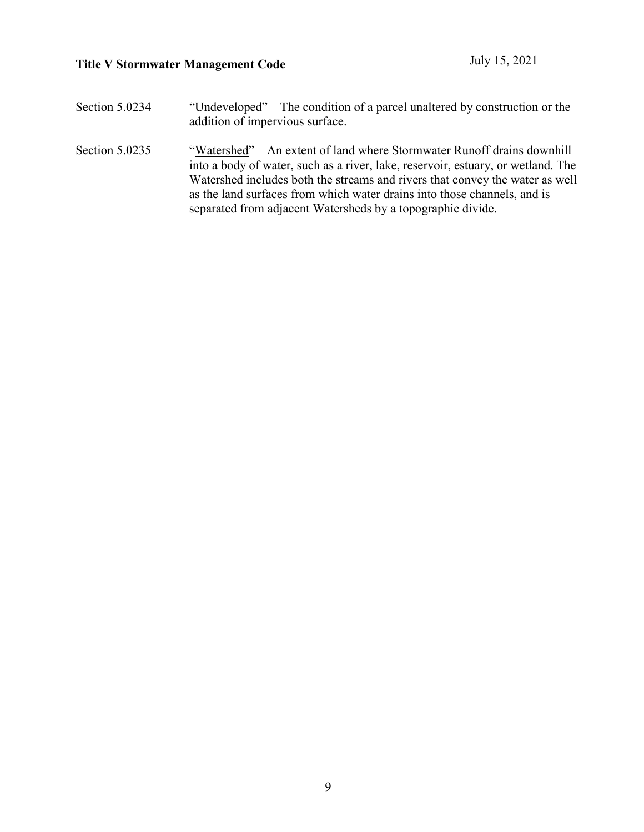| Section 5.0234 | "Undeveloped" – The condition of a parcel unaltered by construction or the<br>addition of impervious surface.                                                                                                                                                                                                                                                                          |
|----------------|----------------------------------------------------------------------------------------------------------------------------------------------------------------------------------------------------------------------------------------------------------------------------------------------------------------------------------------------------------------------------------------|
| Section 5.0235 | "Watershed" – An extent of land where Stormwater Runoff drains downhill<br>into a body of water, such as a river, lake, reservoir, estuary, or wetland. The<br>Watershed includes both the streams and rivers that convey the water as well<br>as the land surfaces from which water drains into those channels, and is<br>separated from adjacent Watersheds by a topographic divide. |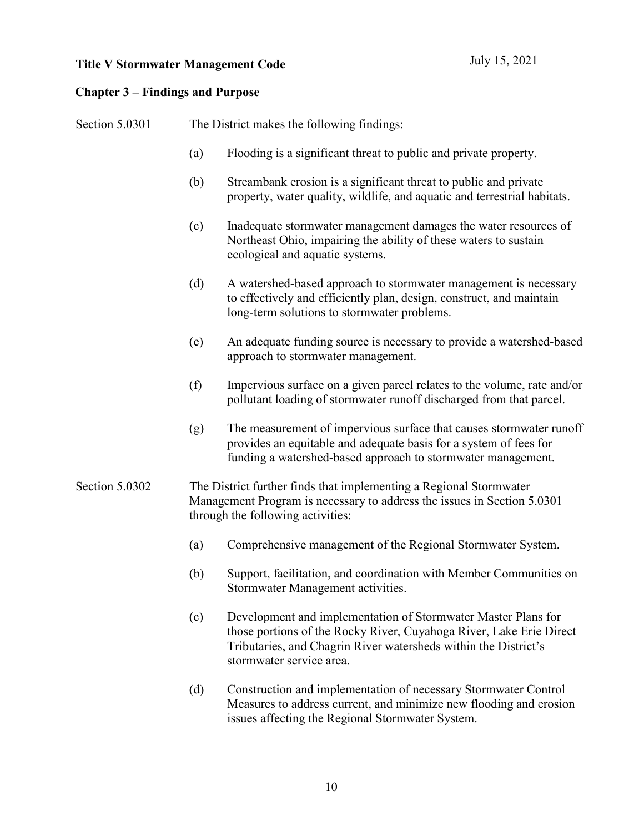#### **Chapter 3 – Findings and Purpose**

Section 5.0301 The District makes the following findings: (a) Flooding is a significant threat to public and private property. (b) Streambank erosion is a significant threat to public and private property, water quality, wildlife, and aquatic and terrestrial habitats. (c) Inadequate stormwater management damages the water resources of Northeast Ohio, impairing the ability of these waters to sustain ecological and aquatic systems. (d) A watershed-based approach to stormwater management is necessary to effectively and efficiently plan, design, construct, and maintain long-term solutions to stormwater problems. (e) An adequate funding source is necessary to provide a watershed-based approach to stormwater management. (f) Impervious surface on a given parcel relates to the volume, rate and/or pollutant loading of stormwater runoff discharged from that parcel. (g) The measurement of impervious surface that causes stormwater runoff provides an equitable and adequate basis for a system of fees for funding a watershed-based approach to stormwater management. Section 5.0302 The District further finds that implementing a Regional Stormwater Management Program is necessary to address the issues in Section 5.0301 through the following activities: (a) Comprehensive management of the Regional Stormwater System. (b) Support, facilitation, and coordination with Member Communities on Stormwater Management activities. (c) Development and implementation of Stormwater Master Plans for those portions of the Rocky River, Cuyahoga River, Lake Erie Direct Tributaries, and Chagrin River watersheds within the District's

> (d) Construction and implementation of necessary Stormwater Control Measures to address current, and minimize new flooding and erosion issues affecting the Regional Stormwater System.

stormwater service area.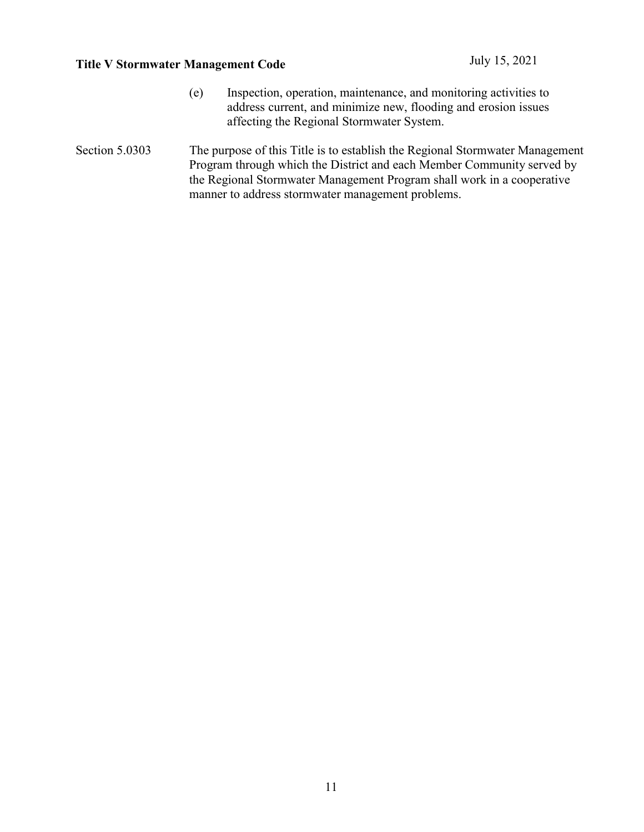- (e) Inspection, operation, maintenance, and monitoring activities to address current, and minimize new, flooding and erosion issues affecting the Regional Stormwater System.
- Section 5.0303 The purpose of this Title is to establish the Regional Stormwater Management Program through which the District and each Member Community served by the Regional Stormwater Management Program shall work in a cooperative manner to address stormwater management problems.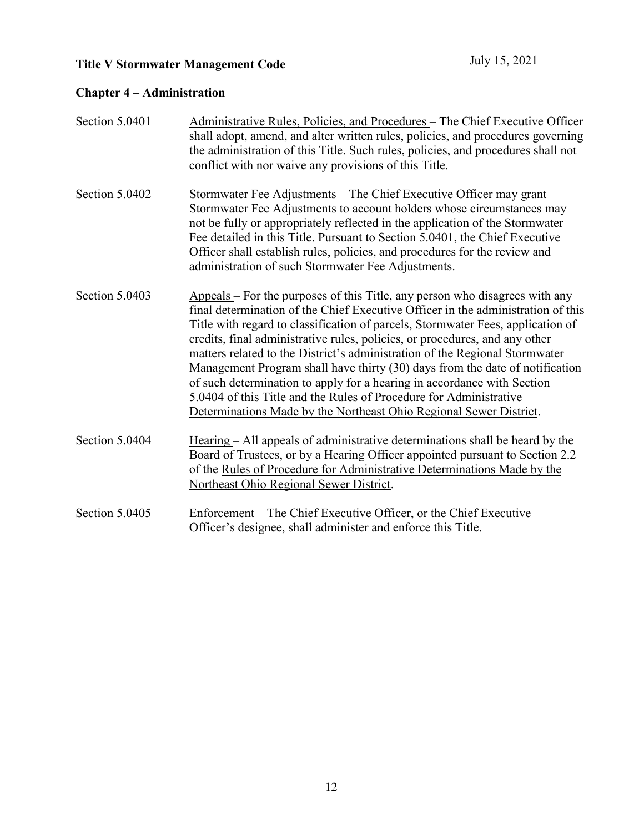## **Chapter 4 – Administration**

| Section 5.0401 | Administrative Rules, Policies, and Procedures - The Chief Executive Officer<br>shall adopt, amend, and alter written rules, policies, and procedures governing<br>the administration of this Title. Such rules, policies, and procedures shall not<br>conflict with nor waive any provisions of this Title.                                                                                                                                                                                                                                                                                                                                                                                                            |
|----------------|-------------------------------------------------------------------------------------------------------------------------------------------------------------------------------------------------------------------------------------------------------------------------------------------------------------------------------------------------------------------------------------------------------------------------------------------------------------------------------------------------------------------------------------------------------------------------------------------------------------------------------------------------------------------------------------------------------------------------|
| Section 5.0402 | Stormwater Fee Adjustments - The Chief Executive Officer may grant<br>Stormwater Fee Adjustments to account holders whose circumstances may<br>not be fully or appropriately reflected in the application of the Stormwater<br>Fee detailed in this Title. Pursuant to Section 5.0401, the Chief Executive<br>Officer shall establish rules, policies, and procedures for the review and<br>administration of such Stormwater Fee Adjustments.                                                                                                                                                                                                                                                                          |
| Section 5.0403 | Appeals - For the purposes of this Title, any person who disagrees with any<br>final determination of the Chief Executive Officer in the administration of this<br>Title with regard to classification of parcels, Stormwater Fees, application of<br>credits, final administrative rules, policies, or procedures, and any other<br>matters related to the District's administration of the Regional Stormwater<br>Management Program shall have thirty (30) days from the date of notification<br>of such determination to apply for a hearing in accordance with Section<br>5.0404 of this Title and the Rules of Procedure for Administrative<br>Determinations Made by the Northeast Ohio Regional Sewer District. |
| Section 5.0404 | Hearing – All appeals of administrative determinations shall be heard by the<br>Board of Trustees, or by a Hearing Officer appointed pursuant to Section 2.2<br>of the Rules of Procedure for Administrative Determinations Made by the<br>Northeast Ohio Regional Sewer District.                                                                                                                                                                                                                                                                                                                                                                                                                                      |
| Section 5.0405 | Enforcement – The Chief Executive Officer, or the Chief Executive<br>Officer's designee, shall administer and enforce this Title.                                                                                                                                                                                                                                                                                                                                                                                                                                                                                                                                                                                       |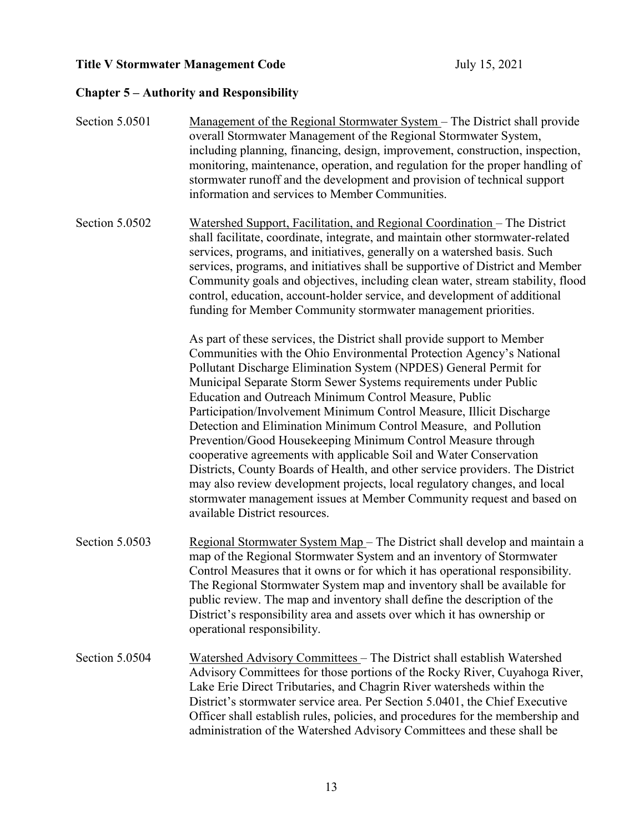## **Chapter 5 – Authority and Responsibility**

| Section 5.0501 | <u>Management of the Regional Stormwater System</u> – The District shall provide<br>overall Stormwater Management of the Regional Stormwater System,<br>including planning, financing, design, improvement, construction, inspection,<br>monitoring, maintenance, operation, and regulation for the proper handling of<br>stormwater runoff and the development and provision of technical support<br>information and services to Member Communities.                                                                                                                                                                                                                                                                                                                                                                                                                                                        |
|----------------|--------------------------------------------------------------------------------------------------------------------------------------------------------------------------------------------------------------------------------------------------------------------------------------------------------------------------------------------------------------------------------------------------------------------------------------------------------------------------------------------------------------------------------------------------------------------------------------------------------------------------------------------------------------------------------------------------------------------------------------------------------------------------------------------------------------------------------------------------------------------------------------------------------------|
| Section 5.0502 | Watershed Support, Facilitation, and Regional Coordination – The District<br>shall facilitate, coordinate, integrate, and maintain other stormwater-related<br>services, programs, and initiatives, generally on a watershed basis. Such<br>services, programs, and initiatives shall be supportive of District and Member<br>Community goals and objectives, including clean water, stream stability, flood<br>control, education, account-holder service, and development of additional<br>funding for Member Community stormwater management priorities.                                                                                                                                                                                                                                                                                                                                                  |
|                | As part of these services, the District shall provide support to Member<br>Communities with the Ohio Environmental Protection Agency's National<br>Pollutant Discharge Elimination System (NPDES) General Permit for<br>Municipal Separate Storm Sewer Systems requirements under Public<br>Education and Outreach Minimum Control Measure, Public<br>Participation/Involvement Minimum Control Measure, Illicit Discharge<br>Detection and Elimination Minimum Control Measure, and Pollution<br>Prevention/Good Housekeeping Minimum Control Measure through<br>cooperative agreements with applicable Soil and Water Conservation<br>Districts, County Boards of Health, and other service providers. The District<br>may also review development projects, local regulatory changes, and local<br>stormwater management issues at Member Community request and based on<br>available District resources. |
| Section 5.0503 | Regional Stormwater System Map - The District shall develop and maintain a<br>map of the Regional Stormwater System and an inventory of Stormwater<br>Control Measures that it owns or for which it has operational responsibility.<br>The Regional Stormwater System map and inventory shall be available for<br>public review. The map and inventory shall define the description of the<br>District's responsibility area and assets over which it has ownership or<br>operational responsibility.                                                                                                                                                                                                                                                                                                                                                                                                        |
| Section 5.0504 | Watershed Advisory Committees - The District shall establish Watershed<br>Advisory Committees for those portions of the Rocky River, Cuyahoga River,<br>Lake Erie Direct Tributaries, and Chagrin River watersheds within the<br>District's stormwater service area. Per Section 5.0401, the Chief Executive<br>Officer shall establish rules, policies, and procedures for the membership and<br>administration of the Watershed Advisory Committees and these shall be                                                                                                                                                                                                                                                                                                                                                                                                                                     |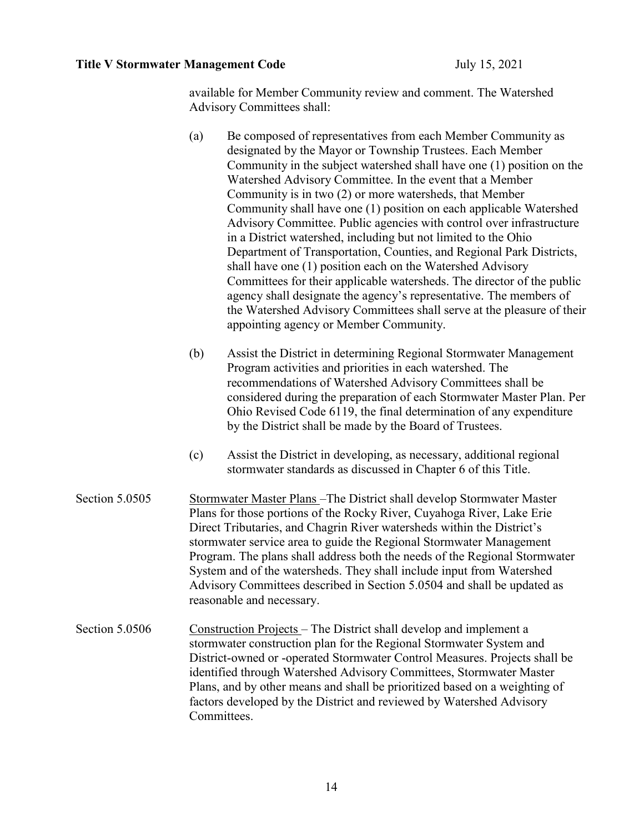available for Member Community review and comment. The Watershed Advisory Committees shall:

- (a) Be composed of representatives from each Member Community as designated by the Mayor or Township Trustees. Each Member Community in the subject watershed shall have one (1) position on the Watershed Advisory Committee. In the event that a Member Community is in two (2) or more watersheds, that Member Community shall have one (1) position on each applicable Watershed Advisory Committee. Public agencies with control over infrastructure in a District watershed, including but not limited to the Ohio Department of Transportation, Counties, and Regional Park Districts, shall have one (1) position each on the Watershed Advisory Committees for their applicable watersheds. The director of the public agency shall designate the agency's representative. The members of the Watershed Advisory Committees shall serve at the pleasure of their appointing agency or Member Community.
- (b) Assist the District in determining Regional Stormwater Management Program activities and priorities in each watershed. The recommendations of Watershed Advisory Committees shall be considered during the preparation of each Stormwater Master Plan. Per Ohio Revised Code 6119, the final determination of any expenditure by the District shall be made by the Board of Trustees.
- (c) Assist the District in developing, as necessary, additional regional stormwater standards as discussed in Chapter 6 of this Title.
- Section 5.0505 Stormwater Master Plans –The District shall develop Stormwater Master Plans for those portions of the Rocky River, Cuyahoga River, Lake Erie Direct Tributaries, and Chagrin River watersheds within the District's stormwater service area to guide the Regional Stormwater Management Program. The plans shall address both the needs of the Regional Stormwater System and of the watersheds. They shall include input from Watershed Advisory Committees described in Section 5.0504 and shall be updated as reasonable and necessary.
- Section 5.0506 Construction Projects The District shall develop and implement a stormwater construction plan for the Regional Stormwater System and District-owned or -operated Stormwater Control Measures. Projects shall be identified through Watershed Advisory Committees, Stormwater Master Plans, and by other means and shall be prioritized based on a weighting of factors developed by the District and reviewed by Watershed Advisory Committees.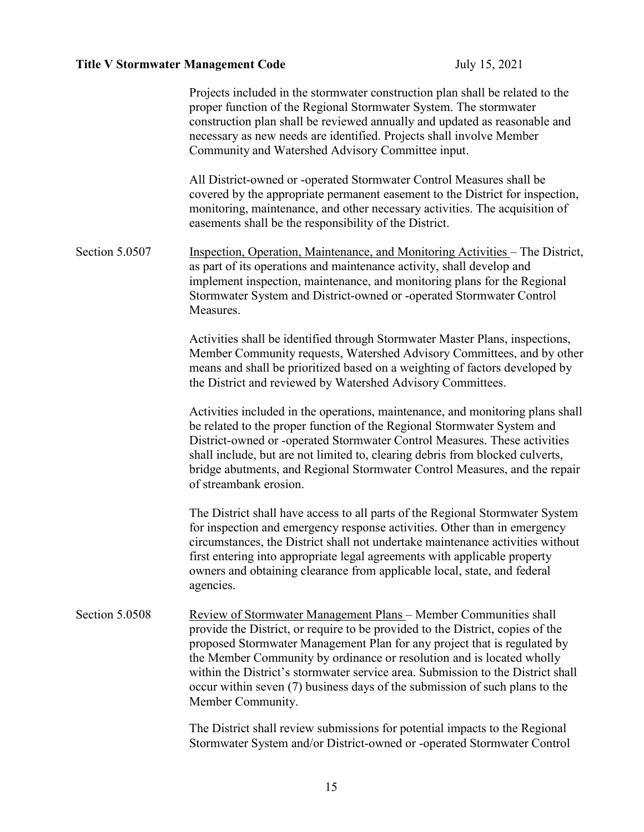|                | Projects included in the stormwater construction plan shall be related to the<br>proper function of the Regional Stormwater System. The stormwater<br>construction plan shall be reviewed annually and updated as reasonable and<br>necessary as new needs are identified. Projects shall involve Member<br>Community and Watershed Advisory Committee input.                                                                                                                                         |
|----------------|-------------------------------------------------------------------------------------------------------------------------------------------------------------------------------------------------------------------------------------------------------------------------------------------------------------------------------------------------------------------------------------------------------------------------------------------------------------------------------------------------------|
|                | All District-owned or -operated Stormwater Control Measures shall be<br>covered by the appropriate permanent easement to the District for inspection,<br>monitoring, maintenance, and other necessary activities. The acquisition of<br>easements shall be the responsibility of the District.                                                                                                                                                                                                        |
| Section 5.0507 | Inspection, Operation, Maintenance, and Monitoring Activities - The District,<br>as part of its operations and maintenance activity, shall develop and<br>implement inspection, maintenance, and monitoring plans for the Regional<br>Stormwater System and District-owned or -operated Stormwater Control<br>Measures.                                                                                                                                                                               |
|                | Activities shall be identified through Stormwater Master Plans, inspections,<br>Member Community requests, Watershed Advisory Committees, and by other<br>means and shall be prioritized based on a weighting of factors developed by<br>the District and reviewed by Watershed Advisory Committees.                                                                                                                                                                                                  |
|                | Activities included in the operations, maintenance, and monitoring plans shall<br>be related to the proper function of the Regional Stormwater System and<br>District-owned or -operated Stormwater Control Measures. These activities<br>shall include, but are not limited to, clearing debris from blocked culverts,<br>bridge abutments, and Regional Stormwater Control Measures, and the repair<br>of streambank erosion.                                                                       |
|                | The District shall have access to all parts of the Regional Stormwater System<br>for inspection and emergency response activities. Other than in emergency<br>circumstances, the District shall not undertake maintenance activities without<br>first entering into appropriate legal agreements with applicable property<br>owners and obtaining clearance from applicable local, state, and federal<br>agencies.                                                                                    |
| Section 5.0508 | <b>Review of Stormwater Management Plans – Member Communities shall</b><br>provide the District, or require to be provided to the District, copies of the<br>proposed Stormwater Management Plan for any project that is regulated by<br>the Member Community by ordinance or resolution and is located wholly<br>within the District's stormwater service area. Submission to the District shall<br>occur within seven (7) business days of the submission of such plans to the<br>Member Community. |
|                | The District shall review submissions for potential impacts to the Regional<br>Stormwater System and/or District-owned or -operated Stormwater Control                                                                                                                                                                                                                                                                                                                                                |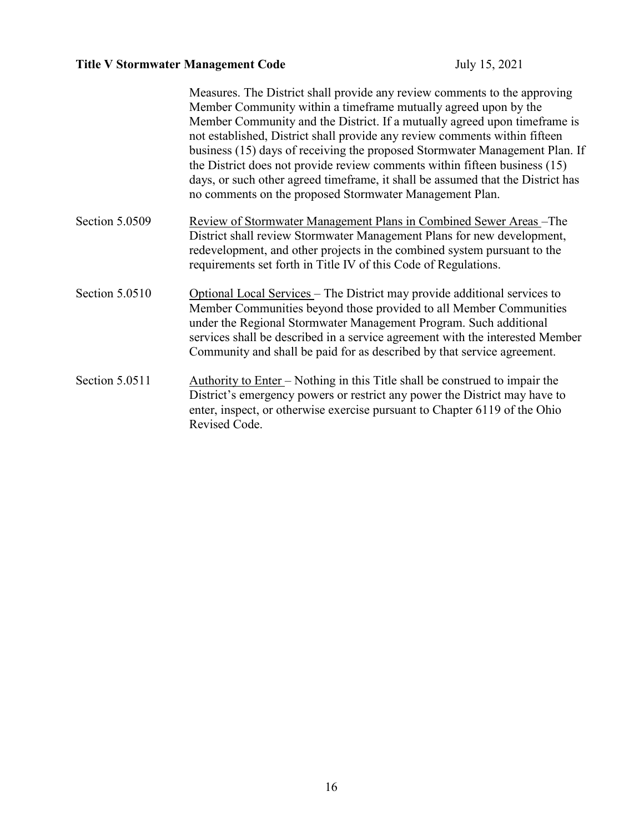|                | Measures. The District shall provide any review comments to the approving<br>Member Community within a timeframe mutually agreed upon by the<br>Member Community and the District. If a mutually agreed upon timeframe is<br>not established, District shall provide any review comments within fifteen<br>business (15) days of receiving the proposed Stormwater Management Plan. If<br>the District does not provide review comments within fifteen business (15)<br>days, or such other agreed timeframe, it shall be assumed that the District has<br>no comments on the proposed Stormwater Management Plan. |
|----------------|--------------------------------------------------------------------------------------------------------------------------------------------------------------------------------------------------------------------------------------------------------------------------------------------------------------------------------------------------------------------------------------------------------------------------------------------------------------------------------------------------------------------------------------------------------------------------------------------------------------------|
| Section 5.0509 | <u>Review of Stormwater Management Plans in Combined Sewer Areas</u> -The<br>District shall review Stormwater Management Plans for new development,<br>redevelopment, and other projects in the combined system pursuant to the<br>requirements set forth in Title IV of this Code of Regulations.                                                                                                                                                                                                                                                                                                                 |
| Section 5.0510 | Optional Local Services - The District may provide additional services to<br>Member Communities beyond those provided to all Member Communities<br>under the Regional Stormwater Management Program. Such additional<br>services shall be described in a service agreement with the interested Member<br>Community and shall be paid for as described by that service agreement.                                                                                                                                                                                                                                   |
| Section 5.0511 | Authority to Enter – Nothing in this Title shall be construed to impair the<br>District's emergency powers or restrict any power the District may have to<br>enter, inspect, or otherwise exercise pursuant to Chapter 6119 of the Ohio<br>Revised Code.                                                                                                                                                                                                                                                                                                                                                           |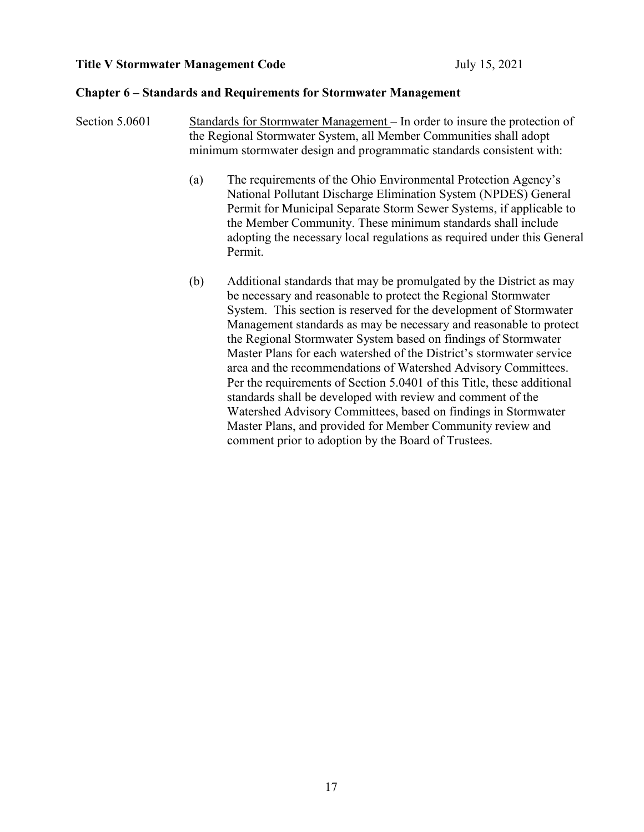#### **Chapter 6 – Standards and Requirements for Stormwater Management**

- Section 5.0601 Standards for Stormwater Management In order to insure the protection of the Regional Stormwater System, all Member Communities shall adopt minimum stormwater design and programmatic standards consistent with:
	- (a) The requirements of the Ohio Environmental Protection Agency's National Pollutant Discharge Elimination System (NPDES) General Permit for Municipal Separate Storm Sewer Systems, if applicable to the Member Community. These minimum standards shall include adopting the necessary local regulations as required under this General Permit.
	- (b) Additional standards that may be promulgated by the District as may be necessary and reasonable to protect the Regional Stormwater System. This section is reserved for the development of Stormwater Management standards as may be necessary and reasonable to protect the Regional Stormwater System based on findings of Stormwater Master Plans for each watershed of the District's stormwater service area and the recommendations of Watershed Advisory Committees. Per the requirements of Section 5.0401 of this Title, these additional standards shall be developed with review and comment of the Watershed Advisory Committees, based on findings in Stormwater Master Plans, and provided for Member Community review and comment prior to adoption by the Board of Trustees.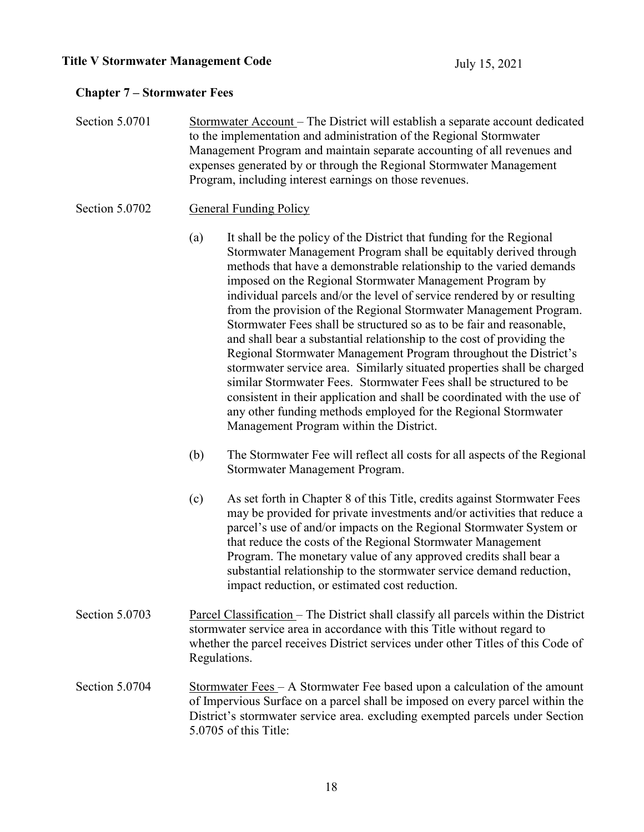### **Chapter 7 – Stormwater Fees**

Section 5.0701 Stormwater Account – The District will establish a separate account dedicated to the implementation and administration of the Regional Stormwater Management Program and maintain separate accounting of all revenues and expenses generated by or through the Regional Stormwater Management Program, including interest earnings on those revenues.

#### Section 5.0702 General Funding Policy

- (a) It shall be the policy of the District that funding for the Regional Stormwater Management Program shall be equitably derived through methods that have a demonstrable relationship to the varied demands imposed on the Regional Stormwater Management Program by individual parcels and/or the level of service rendered by or resulting from the provision of the Regional Stormwater Management Program. Stormwater Fees shall be structured so as to be fair and reasonable, and shall bear a substantial relationship to the cost of providing the Regional Stormwater Management Program throughout the District's stormwater service area. Similarly situated properties shall be charged similar Stormwater Fees. Stormwater Fees shall be structured to be consistent in their application and shall be coordinated with the use of any other funding methods employed for the Regional Stormwater Management Program within the District.
- (b) The Stormwater Fee will reflect all costs for all aspects of the Regional Stormwater Management Program.
- (c) As set forth in Chapter 8 of this Title, credits against Stormwater Fees may be provided for private investments and/or activities that reduce a parcel's use of and/or impacts on the Regional Stormwater System or that reduce the costs of the Regional Stormwater Management Program. The monetary value of any approved credits shall bear a substantial relationship to the stormwater service demand reduction, impact reduction, or estimated cost reduction.
- Section 5.0703 Parcel Classification The District shall classify all parcels within the District stormwater service area in accordance with this Title without regard to whether the parcel receives District services under other Titles of this Code of Regulations.
- Section 5.0704 Stormwater Fees A Stormwater Fee based upon a calculation of the amount of Impervious Surface on a parcel shall be imposed on every parcel within the District's stormwater service area. excluding exempted parcels under Section 5.0705 of this Title: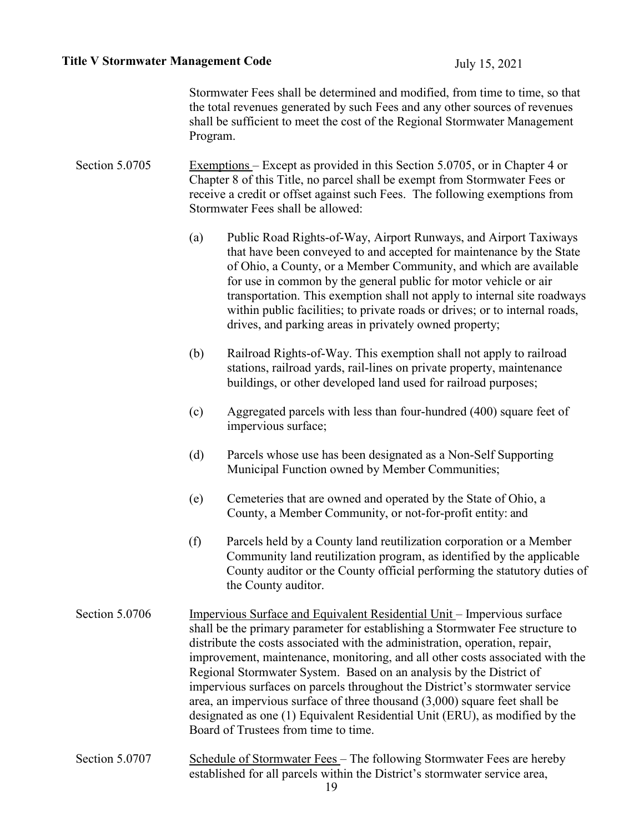Stormwater Fees shall be determined and modified, from time to time, so that the total revenues generated by such Fees and any other sources of revenues shall be sufficient to meet the cost of the Regional Stormwater Management Program.

Section 5.0705 Exemptions – Except as provided in this Section 5.0705, or in Chapter 4 or Chapter 8 of this Title, no parcel shall be exempt from Stormwater Fees or receive a credit or offset against such Fees. The following exemptions from Stormwater Fees shall be allowed:

- (a) Public Road Rights-of-Way, Airport Runways, and Airport Taxiways that have been conveyed to and accepted for maintenance by the State of Ohio, a County, or a Member Community, and which are available for use in common by the general public for motor vehicle or air transportation. This exemption shall not apply to internal site roadways within public facilities; to private roads or drives; or to internal roads, drives, and parking areas in privately owned property;
- (b) Railroad Rights-of-Way. This exemption shall not apply to railroad stations, railroad yards, rail-lines on private property, maintenance buildings, or other developed land used for railroad purposes;
- (c) Aggregated parcels with less than four-hundred (400) square feet of impervious surface;
- (d) Parcels whose use has been designated as a Non-Self Supporting Municipal Function owned by Member Communities;
- (e) Cemeteries that are owned and operated by the State of Ohio, a County, a Member Community, or not-for-profit entity: and
- (f) Parcels held by a County land reutilization corporation or a Member Community land reutilization program, as identified by the applicable County auditor or the County official performing the statutory duties of the County auditor.
- Section 5.0706 Impervious Surface and Equivalent Residential Unit Impervious surface shall be the primary parameter for establishing a Stormwater Fee structure to distribute the costs associated with the administration, operation, repair, improvement, maintenance, monitoring, and all other costs associated with the Regional Stormwater System. Based on an analysis by the District of impervious surfaces on parcels throughout the District's stormwater service area, an impervious surface of three thousand (3,000) square feet shall be designated as one (1) Equivalent Residential Unit (ERU), as modified by the Board of Trustees from time to time.
- Section 5.0707 Schedule of Stormwater Fees The following Stormwater Fees are hereby established for all parcels within the District's stormwater service area,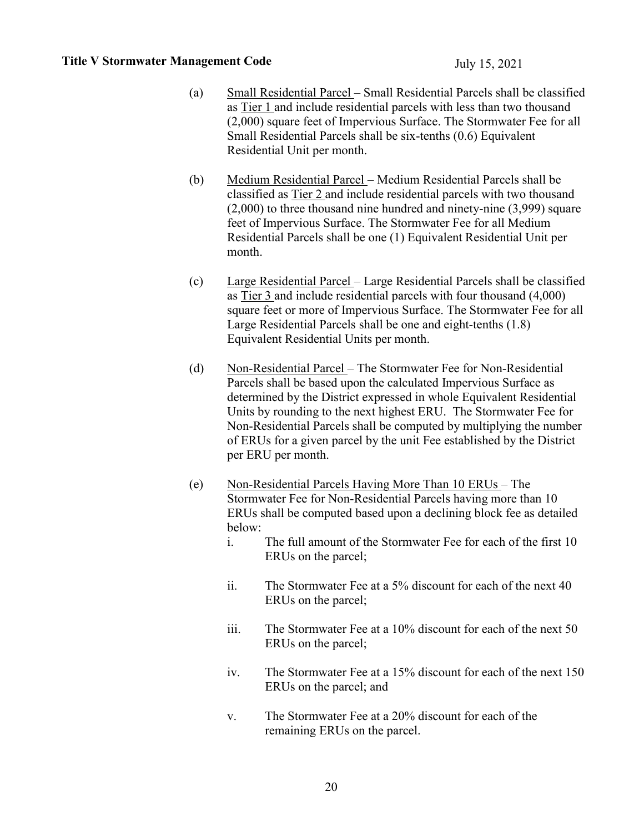- (a) Small Residential Parcel Small Residential Parcels shall be classified as Tier 1 and include residential parcels with less than two thousand (2,000) square feet of Impervious Surface. The Stormwater Fee for all Small Residential Parcels shall be six-tenths (0.6) Equivalent Residential Unit per month.
- (b) Medium Residential Parcel Medium Residential Parcels shall be classified as Tier 2 and include residential parcels with two thousand (2,000) to three thousand nine hundred and ninety-nine (3,999) square feet of Impervious Surface. The Stormwater Fee for all Medium Residential Parcels shall be one (1) Equivalent Residential Unit per month.
- (c) Large Residential Parcel Large Residential Parcels shall be classified as Tier 3 and include residential parcels with four thousand (4,000) square feet or more of Impervious Surface. The Stormwater Fee for all Large Residential Parcels shall be one and eight-tenths (1.8) Equivalent Residential Units per month.
- (d) Non-Residential Parcel The Stormwater Fee for Non-Residential Parcels shall be based upon the calculated Impervious Surface as determined by the District expressed in whole Equivalent Residential Units by rounding to the next highest ERU. The Stormwater Fee for Non-Residential Parcels shall be computed by multiplying the number of ERUs for a given parcel by the unit Fee established by the District per ERU per month.
- (e) Non-Residential Parcels Having More Than 10 ERUs The Stormwater Fee for Non-Residential Parcels having more than 10 ERUs shall be computed based upon a declining block fee as detailed below:
	- i. The full amount of the Stormwater Fee for each of the first 10 ERUs on the parcel;
	- ii. The Stormwater Fee at a 5% discount for each of the next 40 ERUs on the parcel;
	- iii. The Stormwater Fee at a 10% discount for each of the next 50 ERUs on the parcel;
	- iv. The Stormwater Fee at a 15% discount for each of the next 150 ERUs on the parcel; and
	- v. The Stormwater Fee at a 20% discount for each of the remaining ERUs on the parcel.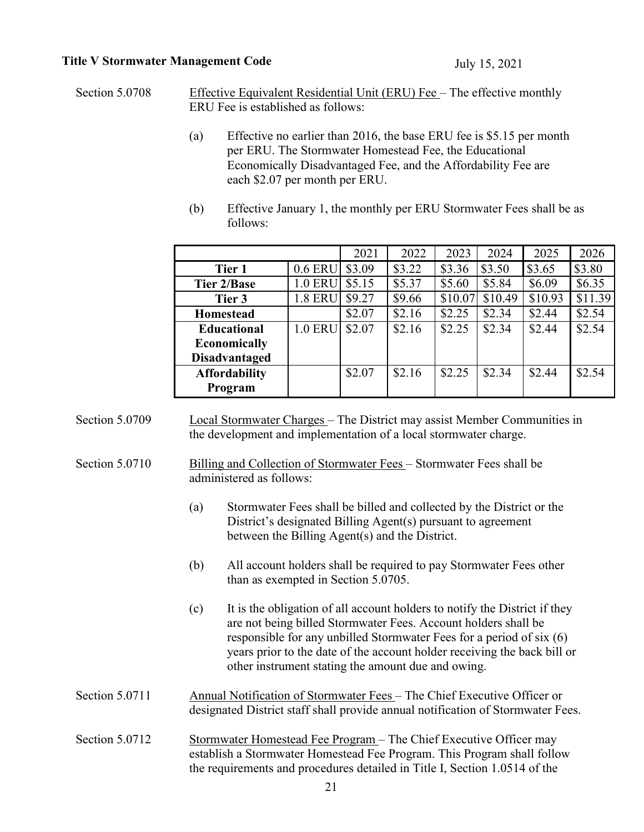Section 5.0708 Effective Equivalent Residential Unit (ERU) Fee – The effective monthly ERU Fee is established as follows:

- (a) Effective no earlier than 2016, the base ERU fee is \$5.15 per month per ERU. The Stormwater Homestead Fee, the Educational Economically Disadvantaged Fee, and the Affordability Fee are each \$2.07 per month per ERU.
- (b) Effective January 1, the monthly per ERU Stormwater Fees shall be as follows:

|                      |                | 2021   | 2022   | 2023    | 2024    | 2025    | 2026    |
|----------------------|----------------|--------|--------|---------|---------|---------|---------|
| Tier 1               | 0.6 ERU        | \$3.09 | \$3.22 | \$3.36  | \$3.50  | \$3.65  | \$3.80  |
| Tier 2/Base          | <b>1.0 ERU</b> | \$5.15 | \$5.37 | \$5.60  | \$5.84  | \$6.09  | \$6.35  |
| Tier 3               | <b>1.8 ERU</b> | \$9.27 | \$9.66 | \$10.07 | \$10.49 | \$10.93 | \$11.39 |
| <b>Homestead</b>     |                | \$2.07 | \$2.16 | \$2.25  | \$2.34  | \$2.44  | \$2.54  |
| <b>Educational</b>   | <b>1.0 ERU</b> | \$2.07 | \$2.16 | \$2.25  | \$2.34  | \$2.44  | \$2.54  |
| <b>Economically</b>  |                |        |        |         |         |         |         |
| <b>Disadvantaged</b> |                |        |        |         |         |         |         |
| <b>Affordability</b> |                | \$2.07 | \$2.16 | \$2.25  | \$2.34  | \$2.44  | \$2.54  |
| Program              |                |        |        |         |         |         |         |

| Section 5.0709 | Local Stormwater Charges - The District may assist Member Communities in |
|----------------|--------------------------------------------------------------------------|
|                | the development and implementation of a local stormwater charge.         |

Section 5.0710 Billing and Collection of Stormwater Fees – Stormwater Fees shall be administered as follows:

- (a) Stormwater Fees shall be billed and collected by the District or the District's designated Billing Agent(s) pursuant to agreement between the Billing Agent(s) and the District.
- (b) All account holders shall be required to pay Stormwater Fees other than as exempted in Section 5.0705.
- (c) It is the obligation of all account holders to notify the District if they are not being billed Stormwater Fees. Account holders shall be responsible for any unbilled Stormwater Fees for a period of six (6) years prior to the date of the account holder receiving the back bill or other instrument stating the amount due and owing.
- Section 5.0711 Annual Notification of Stormwater Fees The Chief Executive Officer or designated District staff shall provide annual notification of Stormwater Fees.
- Section 5.0712 Stormwater Homestead Fee Program The Chief Executive Officer may establish a Stormwater Homestead Fee Program. This Program shall follow the requirements and procedures detailed in Title I, Section 1.0514 of the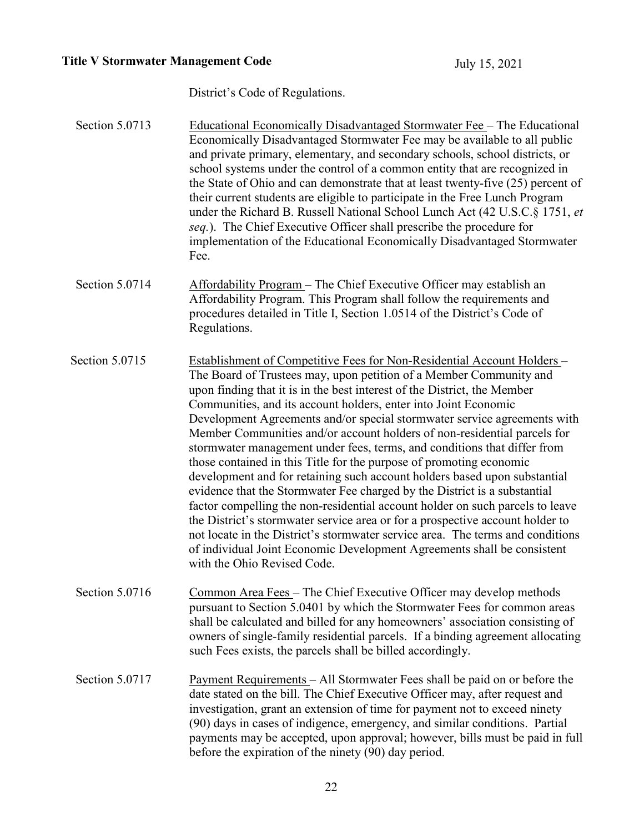District's Code of Regulations.

| Section 5.0713 | <b>Educational Economically Disadvantaged Stormwater Fee</b> – The Educational<br>Economically Disadvantaged Stormwater Fee may be available to all public<br>and private primary, elementary, and secondary schools, school districts, or<br>school systems under the control of a common entity that are recognized in<br>the State of Ohio and can demonstrate that at least twenty-five (25) percent of<br>their current students are eligible to participate in the Free Lunch Program<br>under the Richard B. Russell National School Lunch Act (42 U.S.C.§ 1751, et<br>seq.). The Chief Executive Officer shall prescribe the procedure for<br>implementation of the Educational Economically Disadvantaged Stormwater<br>Fee.                                                                                                                                                                                                                                                                                                                                                                                           |
|----------------|---------------------------------------------------------------------------------------------------------------------------------------------------------------------------------------------------------------------------------------------------------------------------------------------------------------------------------------------------------------------------------------------------------------------------------------------------------------------------------------------------------------------------------------------------------------------------------------------------------------------------------------------------------------------------------------------------------------------------------------------------------------------------------------------------------------------------------------------------------------------------------------------------------------------------------------------------------------------------------------------------------------------------------------------------------------------------------------------------------------------------------|
| Section 5.0714 | Affordability Program – The Chief Executive Officer may establish an<br>Affordability Program. This Program shall follow the requirements and<br>procedures detailed in Title I, Section 1.0514 of the District's Code of<br>Regulations.                                                                                                                                                                                                                                                                                                                                                                                                                                                                                                                                                                                                                                                                                                                                                                                                                                                                                       |
| Section 5.0715 | Establishment of Competitive Fees for Non-Residential Account Holders -<br>The Board of Trustees may, upon petition of a Member Community and<br>upon finding that it is in the best interest of the District, the Member<br>Communities, and its account holders, enter into Joint Economic<br>Development Agreements and/or special stormwater service agreements with<br>Member Communities and/or account holders of non-residential parcels for<br>stormwater management under fees, terms, and conditions that differ from<br>those contained in this Title for the purpose of promoting economic<br>development and for retaining such account holders based upon substantial<br>evidence that the Stormwater Fee charged by the District is a substantial<br>factor compelling the non-residential account holder on such parcels to leave<br>the District's stormwater service area or for a prospective account holder to<br>not locate in the District's stormwater service area. The terms and conditions<br>of individual Joint Economic Development Agreements shall be consistent<br>with the Ohio Revised Code. |
| Section 5.0716 | Common Area Fees - The Chief Executive Officer may develop methods<br>pursuant to Section 5.0401 by which the Stormwater Fees for common areas<br>shall be calculated and billed for any homeowners' association consisting of<br>owners of single-family residential parcels. If a binding agreement allocating<br>such Fees exists, the parcels shall be billed accordingly.                                                                                                                                                                                                                                                                                                                                                                                                                                                                                                                                                                                                                                                                                                                                                  |
| Section 5.0717 | <u>Payment Requirements</u> – All Stormwater Fees shall be paid on or before the<br>date stated on the bill. The Chief Executive Officer may, after request and<br>investigation, grant an extension of time for payment not to exceed ninety<br>(90) days in cases of indigence, emergency, and similar conditions. Partial<br>payments may be accepted, upon approval; however, bills must be paid in full<br>before the expiration of the ninety (90) day period.                                                                                                                                                                                                                                                                                                                                                                                                                                                                                                                                                                                                                                                            |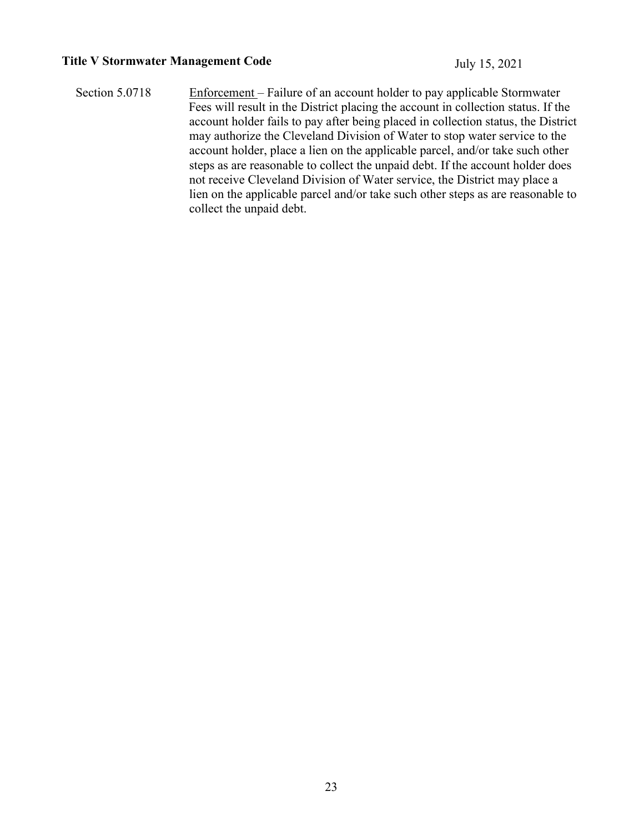Section 5.0718 Enforcement – Failure of an account holder to pay applicable Stormwater Fees will result in the District placing the account in collection status. If the account holder fails to pay after being placed in collection status, the District may authorize the Cleveland Division of Water to stop water service to the account holder, place a lien on the applicable parcel, and/or take such other steps as are reasonable to collect the unpaid debt. If the account holder does not receive Cleveland Division of Water service, the District may place a lien on the applicable parcel and/or take such other steps as are reasonable to collect the unpaid debt.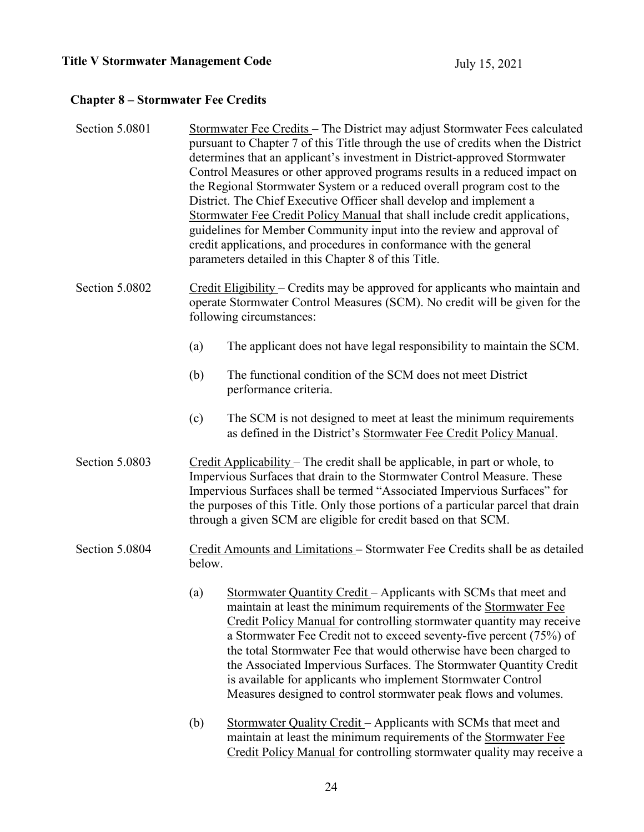## **Chapter 8 – Stormwater Fee Credits**

| Section 5.0801 | Stormwater Fee Credits - The District may adjust Stormwater Fees calculated<br>pursuant to Chapter 7 of this Title through the use of credits when the District<br>determines that an applicant's investment in District-approved Stormwater<br>Control Measures or other approved programs results in a reduced impact on<br>the Regional Stormwater System or a reduced overall program cost to the<br>District. The Chief Executive Officer shall develop and implement a<br>Stormwater Fee Credit Policy Manual that shall include credit applications,<br>guidelines for Member Community input into the review and approval of<br>credit applications, and procedures in conformance with the general<br>parameters detailed in this Chapter 8 of this Title. |  |  |
|----------------|---------------------------------------------------------------------------------------------------------------------------------------------------------------------------------------------------------------------------------------------------------------------------------------------------------------------------------------------------------------------------------------------------------------------------------------------------------------------------------------------------------------------------------------------------------------------------------------------------------------------------------------------------------------------------------------------------------------------------------------------------------------------|--|--|
| Section 5.0802 | Credit Eligibility – Credits may be approved for applicants who maintain and<br>operate Stormwater Control Measures (SCM). No credit will be given for the<br>following circumstances:                                                                                                                                                                                                                                                                                                                                                                                                                                                                                                                                                                              |  |  |
|                | The applicant does not have legal responsibility to maintain the SCM.<br>(a)                                                                                                                                                                                                                                                                                                                                                                                                                                                                                                                                                                                                                                                                                        |  |  |
|                | The functional condition of the SCM does not meet District<br>(b)<br>performance criteria.                                                                                                                                                                                                                                                                                                                                                                                                                                                                                                                                                                                                                                                                          |  |  |
|                | The SCM is not designed to meet at least the minimum requirements<br>(c)<br>as defined in the District's Stormwater Fee Credit Policy Manual.                                                                                                                                                                                                                                                                                                                                                                                                                                                                                                                                                                                                                       |  |  |
| Section 5.0803 | Credit Applicability - The credit shall be applicable, in part or whole, to<br>Impervious Surfaces that drain to the Stormwater Control Measure. These<br>Impervious Surfaces shall be termed "Associated Impervious Surfaces" for<br>the purposes of this Title. Only those portions of a particular parcel that drain<br>through a given SCM are eligible for credit based on that SCM.                                                                                                                                                                                                                                                                                                                                                                           |  |  |
| Section 5.0804 | Credit Amounts and Limitations - Stormwater Fee Credits shall be as detailed<br>below.                                                                                                                                                                                                                                                                                                                                                                                                                                                                                                                                                                                                                                                                              |  |  |
|                | Stormwater Quantity Credit - Applicants with SCMs that meet and<br>(a)<br>maintain at least the minimum requirements of the Stormwater Fee<br>Credit Policy Manual for controlling stormwater quantity may receive<br>a Stormwater Fee Credit not to exceed seventy-five percent (75%) of<br>the total Stormwater Fee that would otherwise have been charged to<br>the Associated Impervious Surfaces. The Stormwater Quantity Credit<br>is available for applicants who implement Stormwater Control<br>Measures designed to control stormwater peak flows and volumes.                                                                                                                                                                                            |  |  |
|                | Stormwater Quality Credit - Applicants with SCMs that meet and<br>(b)<br>maintain at least the minimum requirements of the Stormwater Fee<br>Credit Policy Manual for controlling stormwater quality may receive a                                                                                                                                                                                                                                                                                                                                                                                                                                                                                                                                                  |  |  |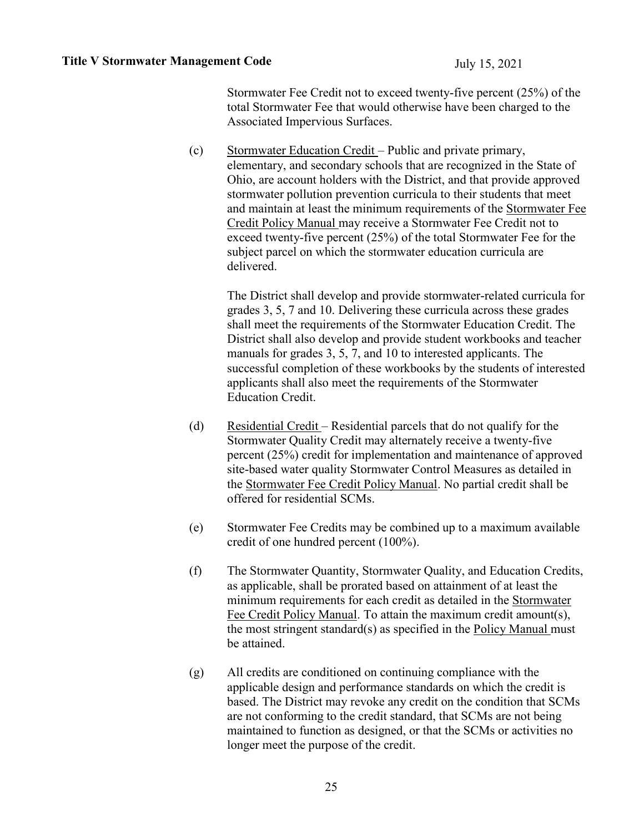Stormwater Fee Credit not to exceed twenty-five percent (25%) of the total Stormwater Fee that would otherwise have been charged to the Associated Impervious Surfaces.

(c) Stormwater Education Credit – Public and private primary, elementary, and secondary schools that are recognized in the State of Ohio, are account holders with the District, and that provide approved stormwater pollution prevention curricula to their students that meet and maintain at least the minimum requirements of the Stormwater Fee Credit Policy Manual may receive a Stormwater Fee Credit not to exceed twenty-five percent (25%) of the total Stormwater Fee for the subject parcel on which the stormwater education curricula are delivered.

The District shall develop and provide stormwater-related curricula for grades 3, 5, 7 and 10. Delivering these curricula across these grades shall meet the requirements of the Stormwater Education Credit. The District shall also develop and provide student workbooks and teacher manuals for grades 3, 5, 7, and 10 to interested applicants. The successful completion of these workbooks by the students of interested applicants shall also meet the requirements of the Stormwater Education Credit.

- (d) Residential Credit Residential parcels that do not qualify for the Stormwater Quality Credit may alternately receive a twenty-five percent (25%) credit for implementation and maintenance of approved site-based water quality Stormwater Control Measures as detailed in the Stormwater Fee Credit Policy Manual. No partial credit shall be offered for residential SCMs.
- (e) Stormwater Fee Credits may be combined up to a maximum available credit of one hundred percent (100%).
- (f) The Stormwater Quantity, Stormwater Quality, and Education Credits, as applicable, shall be prorated based on attainment of at least the minimum requirements for each credit as detailed in the Stormwater Fee Credit Policy Manual. To attain the maximum credit amount(s), the most stringent standard(s) as specified in the Policy Manual must be attained.
- (g) All credits are conditioned on continuing compliance with the applicable design and performance standards on which the credit is based. The District may revoke any credit on the condition that SCMs are not conforming to the credit standard, that SCMs are not being maintained to function as designed, or that the SCMs or activities no longer meet the purpose of the credit.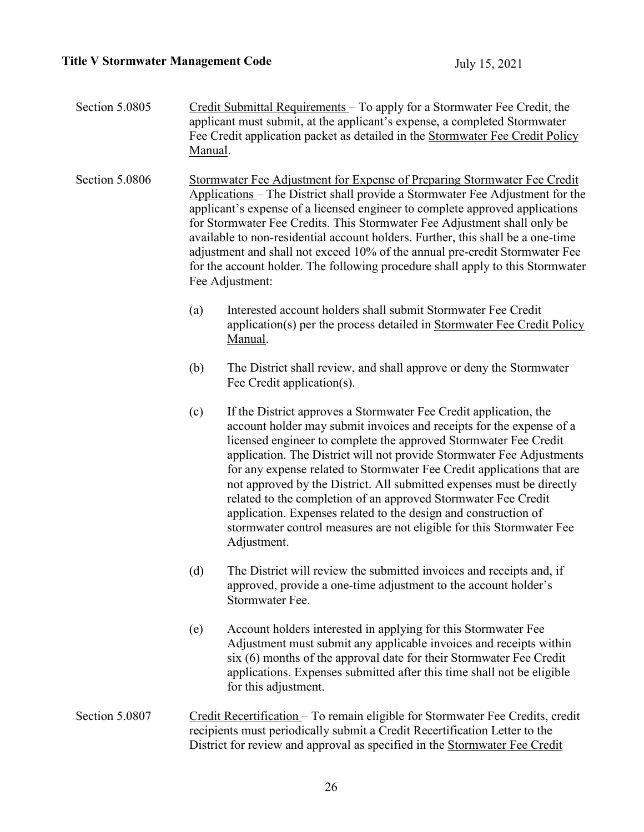| Section 5.0805 | Credit Submittal Requirements – To apply for a Stormwater Fee Credit, the<br>applicant must submit, at the applicant's expense, a completed Stormwater<br>Fee Credit application packet as detailed in the Stormwater Fee Credit Policy<br>Manual.                                                                                                                                                                                                                                                                                                                                           |                                                                                                                                                                                                                                                                                                                                                                                                                                                                                                                                                                                                                                                                       |  |
|----------------|----------------------------------------------------------------------------------------------------------------------------------------------------------------------------------------------------------------------------------------------------------------------------------------------------------------------------------------------------------------------------------------------------------------------------------------------------------------------------------------------------------------------------------------------------------------------------------------------|-----------------------------------------------------------------------------------------------------------------------------------------------------------------------------------------------------------------------------------------------------------------------------------------------------------------------------------------------------------------------------------------------------------------------------------------------------------------------------------------------------------------------------------------------------------------------------------------------------------------------------------------------------------------------|--|
| Section 5.0806 | Stormwater Fee Adjustment for Expense of Preparing Stormwater Fee Credit<br>Applications - The District shall provide a Stormwater Fee Adjustment for the<br>applicant's expense of a licensed engineer to complete approved applications<br>for Stormwater Fee Credits. This Stormwater Fee Adjustment shall only be<br>available to non-residential account holders. Further, this shall be a one-time<br>adjustment and shall not exceed 10% of the annual pre-credit Stormwater Fee<br>for the account holder. The following procedure shall apply to this Stormwater<br>Fee Adjustment: |                                                                                                                                                                                                                                                                                                                                                                                                                                                                                                                                                                                                                                                                       |  |
|                | (a)                                                                                                                                                                                                                                                                                                                                                                                                                                                                                                                                                                                          | Interested account holders shall submit Stormwater Fee Credit<br>application(s) per the process detailed in Stormwater Fee Credit Policy<br>Manual.                                                                                                                                                                                                                                                                                                                                                                                                                                                                                                                   |  |
|                | (b)                                                                                                                                                                                                                                                                                                                                                                                                                                                                                                                                                                                          | The District shall review, and shall approve or deny the Stormwater<br>Fee Credit application(s).                                                                                                                                                                                                                                                                                                                                                                                                                                                                                                                                                                     |  |
|                | (c)                                                                                                                                                                                                                                                                                                                                                                                                                                                                                                                                                                                          | If the District approves a Stormwater Fee Credit application, the<br>account holder may submit invoices and receipts for the expense of a<br>licensed engineer to complete the approved Stormwater Fee Credit<br>application. The District will not provide Stormwater Fee Adjustments<br>for any expense related to Stormwater Fee Credit applications that are<br>not approved by the District. All submitted expenses must be directly<br>related to the completion of an approved Stormwater Fee Credit<br>application. Expenses related to the design and construction of<br>stormwater control measures are not eligible for this Stormwater Fee<br>Adjustment. |  |
|                | (d)                                                                                                                                                                                                                                                                                                                                                                                                                                                                                                                                                                                          | The District will review the submitted invoices and receipts and, if<br>approved, provide a one-time adjustment to the account holder's<br>Stormwater Fee.                                                                                                                                                                                                                                                                                                                                                                                                                                                                                                            |  |
|                | (e)                                                                                                                                                                                                                                                                                                                                                                                                                                                                                                                                                                                          | Account holders interested in applying for this Stormwater Fee<br>Adjustment must submit any applicable invoices and receipts within<br>six (6) months of the approval date for their Stormwater Fee Credit<br>applications. Expenses submitted after this time shall not be eligible<br>for this adjustment.                                                                                                                                                                                                                                                                                                                                                         |  |
| Section 5.0807 | Credit Recertification – To remain eligible for Stormwater Fee Credits, credit<br>recipients must periodically submit a Credit Recertification Letter to the<br>District for review and approval as specified in the Stormwater Fee Credit                                                                                                                                                                                                                                                                                                                                                   |                                                                                                                                                                                                                                                                                                                                                                                                                                                                                                                                                                                                                                                                       |  |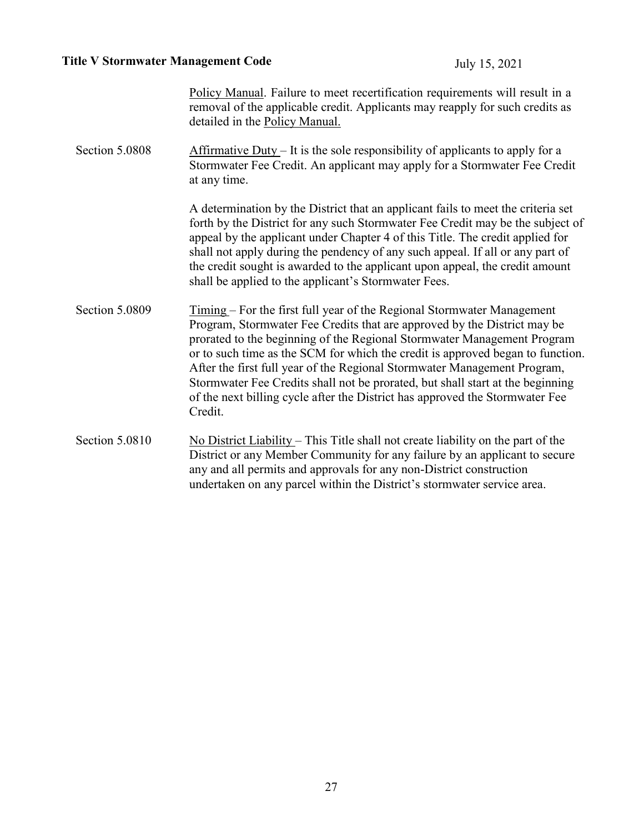Policy Manual. Failure to meet recertification requirements will result in a removal of the applicable credit. Applicants may reapply for such credits as detailed in the Policy Manual.

Section 5.0808 Affirmative Duty – It is the sole responsibility of applicants to apply for a Stormwater Fee Credit. An applicant may apply for a Stormwater Fee Credit at any time.

> A determination by the District that an applicant fails to meet the criteria set forth by the District for any such Stormwater Fee Credit may be the subject of appeal by the applicant under Chapter 4 of this Title. The credit applied for shall not apply during the pendency of any such appeal. If all or any part of the credit sought is awarded to the applicant upon appeal, the credit amount shall be applied to the applicant's Stormwater Fees.

- Section 5.0809 Timing For the first full year of the Regional Stormwater Management Program, Stormwater Fee Credits that are approved by the District may be prorated to the beginning of the Regional Stormwater Management Program or to such time as the SCM for which the credit is approved began to function. After the first full year of the Regional Stormwater Management Program, Stormwater Fee Credits shall not be prorated, but shall start at the beginning of the next billing cycle after the District has approved the Stormwater Fee Credit.
- Section 5.0810 No District Liability This Title shall not create liability on the part of the District or any Member Community for any failure by an applicant to secure any and all permits and approvals for any non-District construction undertaken on any parcel within the District's stormwater service area.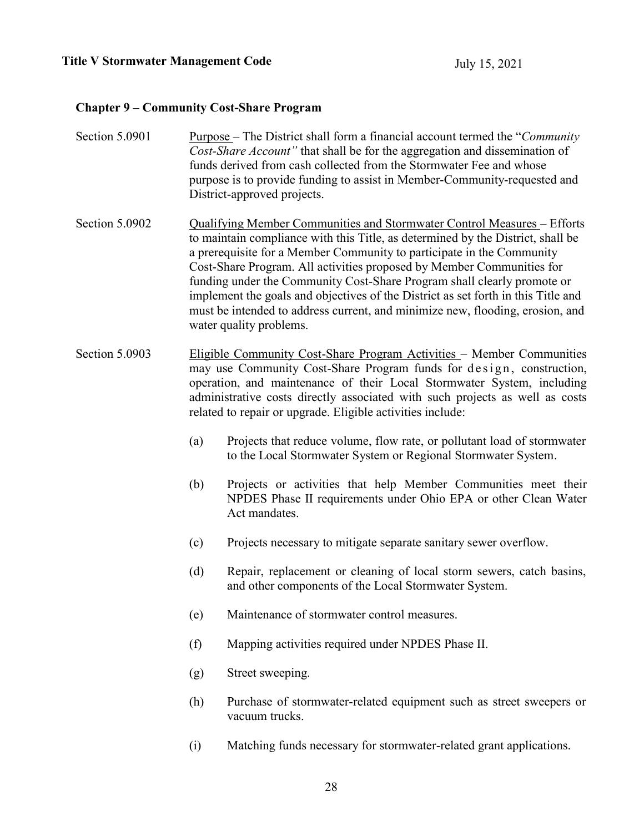## **Chapter 9 – Community Cost-Share Program**

| Section 5.0901 |                                                                                                                                                                                                                                                                                                                                                                                                                                                                                                                                                                                          | Purpose – The District shall form a financial account termed the "Community"<br>Cost-Share Account" that shall be for the aggregation and dissemination of<br>funds derived from cash collected from the Stormwater Fee and whose<br>purpose is to provide funding to assist in Member-Community-requested and<br>District-approved projects.                         |  |
|----------------|------------------------------------------------------------------------------------------------------------------------------------------------------------------------------------------------------------------------------------------------------------------------------------------------------------------------------------------------------------------------------------------------------------------------------------------------------------------------------------------------------------------------------------------------------------------------------------------|-----------------------------------------------------------------------------------------------------------------------------------------------------------------------------------------------------------------------------------------------------------------------------------------------------------------------------------------------------------------------|--|
| Section 5.0902 | Qualifying Member Communities and Stormwater Control Measures - Efforts<br>to maintain compliance with this Title, as determined by the District, shall be<br>a prerequisite for a Member Community to participate in the Community<br>Cost-Share Program. All activities proposed by Member Communities for<br>funding under the Community Cost-Share Program shall clearly promote or<br>implement the goals and objectives of the District as set forth in this Title and<br>must be intended to address current, and minimize new, flooding, erosion, and<br>water quality problems. |                                                                                                                                                                                                                                                                                                                                                                       |  |
| Section 5.0903 |                                                                                                                                                                                                                                                                                                                                                                                                                                                                                                                                                                                          | Eligible Community Cost-Share Program Activities - Member Communities<br>may use Community Cost-Share Program funds for design, construction,<br>operation, and maintenance of their Local Stormwater System, including<br>administrative costs directly associated with such projects as well as costs<br>related to repair or upgrade. Eligible activities include: |  |
|                | (a)                                                                                                                                                                                                                                                                                                                                                                                                                                                                                                                                                                                      | Projects that reduce volume, flow rate, or pollutant load of stormwater<br>to the Local Stormwater System or Regional Stormwater System.                                                                                                                                                                                                                              |  |
|                | (b)                                                                                                                                                                                                                                                                                                                                                                                                                                                                                                                                                                                      | Projects or activities that help Member Communities meet their<br>NPDES Phase II requirements under Ohio EPA or other Clean Water<br>Act mandates.                                                                                                                                                                                                                    |  |
|                | (c)                                                                                                                                                                                                                                                                                                                                                                                                                                                                                                                                                                                      | Projects necessary to mitigate separate sanitary sewer overflow.                                                                                                                                                                                                                                                                                                      |  |
|                | (d)                                                                                                                                                                                                                                                                                                                                                                                                                                                                                                                                                                                      | Repair, replacement or cleaning of local storm sewers, catch basins,<br>and other components of the Local Stormwater System.                                                                                                                                                                                                                                          |  |
|                | (e)                                                                                                                                                                                                                                                                                                                                                                                                                                                                                                                                                                                      | Maintenance of stormwater control measures.                                                                                                                                                                                                                                                                                                                           |  |
|                | (f)                                                                                                                                                                                                                                                                                                                                                                                                                                                                                                                                                                                      | Mapping activities required under NPDES Phase II.                                                                                                                                                                                                                                                                                                                     |  |
|                | (g)                                                                                                                                                                                                                                                                                                                                                                                                                                                                                                                                                                                      | Street sweeping.                                                                                                                                                                                                                                                                                                                                                      |  |
|                | (h)                                                                                                                                                                                                                                                                                                                                                                                                                                                                                                                                                                                      | Purchase of stormwater-related equipment such as street sweepers or<br>vacuum trucks.                                                                                                                                                                                                                                                                                 |  |
|                | (i)                                                                                                                                                                                                                                                                                                                                                                                                                                                                                                                                                                                      | Matching funds necessary for stormwater-related grant applications.                                                                                                                                                                                                                                                                                                   |  |
|                |                                                                                                                                                                                                                                                                                                                                                                                                                                                                                                                                                                                          |                                                                                                                                                                                                                                                                                                                                                                       |  |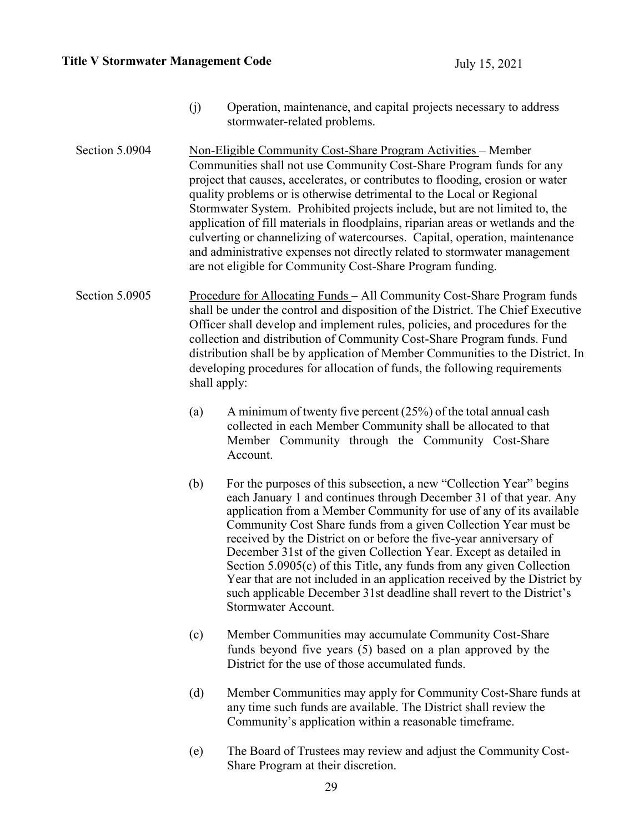- (j) Operation, maintenance, and capital projects necessary to address stormwater-related problems.
- Section 5.0904 Non-Eligible Community Cost-Share Program Activities Member Communities shall not use Community Cost-Share Program funds for any project that causes, accelerates, or contributes to flooding, erosion or water quality problems or is otherwise detrimental to the Local or Regional Stormwater System. Prohibited projects include, but are not limited to, the application of fill materials in floodplains, riparian areas or wetlands and the culverting or channelizing of watercourses. Capital, operation, maintenance and administrative expenses not directly related to stormwater management are not eligible for Community Cost-Share Program funding.
- Section 5.0905 Procedure for Allocating Funds All Community Cost-Share Program funds shall be under the control and disposition of the District. The Chief Executive Officer shall develop and implement rules, policies, and procedures for the collection and distribution of Community Cost-Share Program funds. Fund distribution shall be by application of Member Communities to the District. In developing procedures for allocation of funds, the following requirements shall apply:
	- (a) A minimum of twenty five percent  $(25%)$  of the total annual cash collected in each Member Community shall be allocated to that Member Community through the Community Cost-Share Account.
	- (b) For the purposes of this subsection, a new "Collection Year" begins each January 1 and continues through December 31 of that year. Any application from a Member Community for use of any of its available Community Cost Share funds from a given Collection Year must be received by the District on or before the five-year anniversary of December 31st of the given Collection Year. Except as detailed in Section 5.0905(c) of this Title, any funds from any given Collection Year that are not included in an application received by the District by such applicable December 31st deadline shall revert to the District's Stormwater Account.
	- (c) Member Communities may accumulate Community Cost-Share funds beyond five years (5) based on a plan approved by the District for the use of those accumulated funds.
	- (d) Member Communities may apply for Community Cost-Share funds at any time such funds are available. The District shall review the Community's application within a reasonable timeframe.
	- (e) The Board of Trustees may review and adjust the Community Cost-Share Program at their discretion.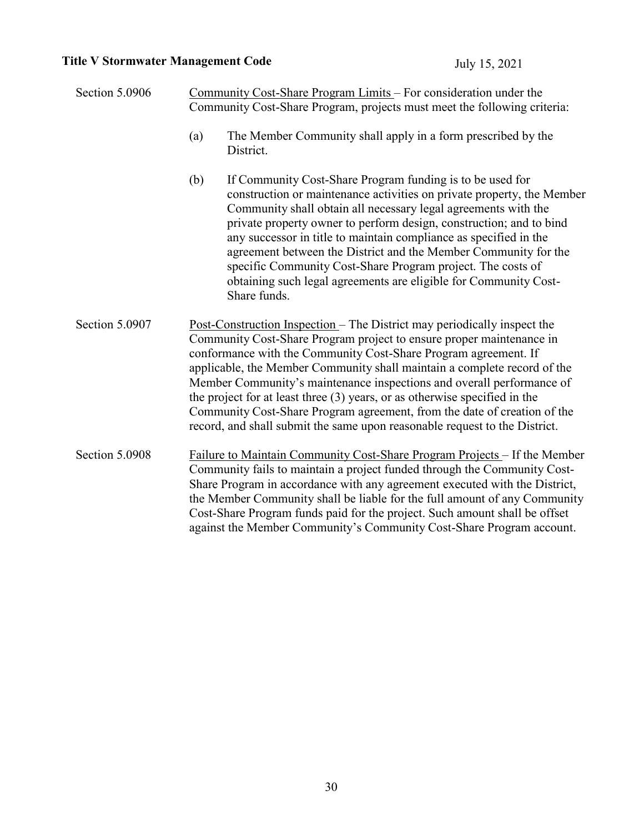Section 5.0906 Community Cost-Share Program Limits – For consideration under the Community Cost-Share Program, projects must meet the following criteria:

- (a) The Member Community shall apply in a form prescribed by the District.
- (b) If Community Cost-Share Program funding is to be used for construction or maintenance activities on private property, the Member Community shall obtain all necessary legal agreements with the private property owner to perform design, construction; and to bind any successor in title to maintain compliance as specified in the agreement between the District and the Member Community for the specific Community Cost-Share Program project. The costs of obtaining such legal agreements are eligible for Community Cost-Share funds.
- Section 5.0907 Post-Construction Inspection The District may periodically inspect the Community Cost-Share Program project to ensure proper maintenance in conformance with the Community Cost-Share Program agreement. If applicable, the Member Community shall maintain a complete record of the Member Community's maintenance inspections and overall performance of the project for at least three (3) years, or as otherwise specified in the Community Cost-Share Program agreement, from the date of creation of the record, and shall submit the same upon reasonable request to the District.
- Section 5.0908 Failure to Maintain Community Cost-Share Program Projects If the Member Community fails to maintain a project funded through the Community Cost-Share Program in accordance with any agreement executed with the District, the Member Community shall be liable for the full amount of any Community Cost-Share Program funds paid for the project. Such amount shall be offset against the Member Community's Community Cost-Share Program account.